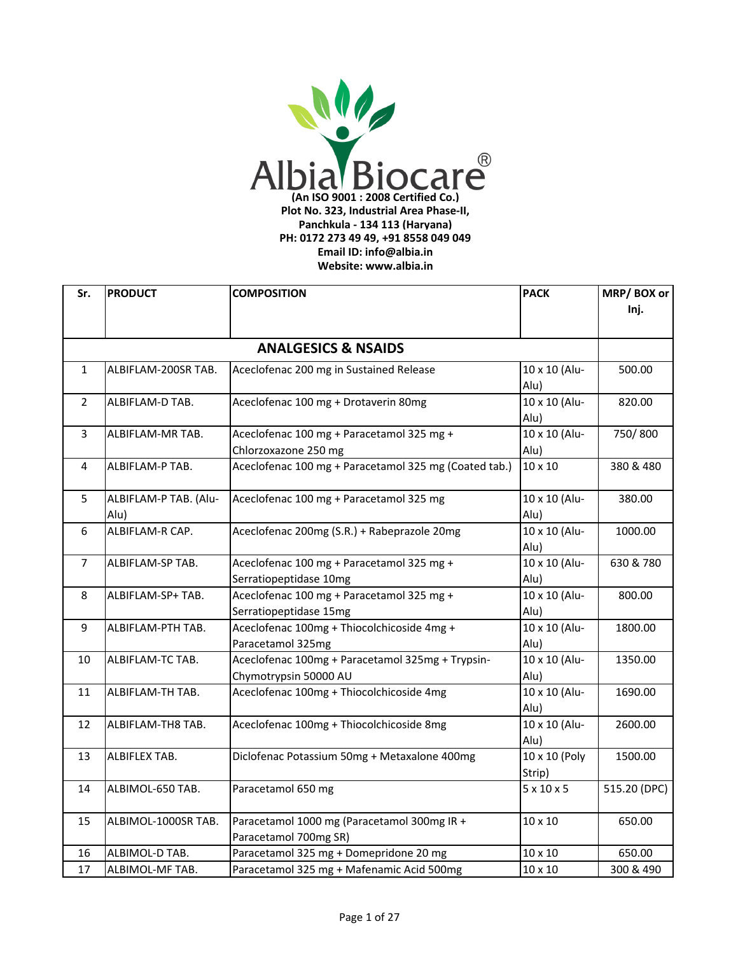

| Sr.            | <b>PRODUCT</b>        | <b>COMPOSITION</b>                                    | <b>PACK</b>            | MRP/BOX or   |
|----------------|-----------------------|-------------------------------------------------------|------------------------|--------------|
|                |                       |                                                       |                        | Inj.         |
|                |                       |                                                       |                        |              |
|                |                       | <b>ANALGESICS &amp; NSAIDS</b>                        |                        |              |
| $\mathbf{1}$   | ALBIFLAM-200SR TAB.   | Aceclofenac 200 mg in Sustained Release               | 10 x 10 (Alu-          | 500.00       |
|                |                       |                                                       | Alu)                   |              |
| $\overline{2}$ | ALBIFLAM-D TAB.       | Aceclofenac 100 mg + Drotaverin 80mg                  | 10 x 10 (Alu-          | 820.00       |
|                |                       |                                                       | Alu)                   |              |
| 3              | ALBIFLAM-MR TAB.      | Aceclofenac 100 mg + Paracetamol 325 mg +             | 10 x 10 (Alu-          | 750/800      |
|                |                       | Chlorzoxazone 250 mg                                  | Alu)                   |              |
| 4              | ALBIFLAM-P TAB.       | Aceclofenac 100 mg + Paracetamol 325 mg (Coated tab.) | 10 x 10                | 380 & 480    |
| 5              | ALBIFLAM-P TAB. (Alu- | Aceclofenac 100 mg + Paracetamol 325 mg               | 10 x 10 (Alu-          | 380.00       |
|                | Alu)                  |                                                       | Alu)                   |              |
| 6              | ALBIFLAM-R CAP.       | Aceclofenac 200mg (S.R.) + Rabeprazole 20mg           | 10 x 10 (Alu-          | 1000.00      |
|                |                       |                                                       | Alu)                   |              |
| $\overline{7}$ | ALBIFLAM-SP TAB.      | Aceclofenac 100 mg + Paracetamol 325 mg +             | 10 x 10 (Alu-          | 630 & 780    |
|                |                       | Serratiopeptidase 10mg                                | Alu)                   |              |
| 8              | ALBIFLAM-SP+ TAB.     | Aceclofenac 100 mg + Paracetamol 325 mg +             | 10 x 10 (Alu-          | 800.00       |
|                |                       | Serratiopeptidase 15mg                                | Alu)                   |              |
| 9              | ALBIFLAM-PTH TAB.     | Aceclofenac 100mg + Thiocolchicoside 4mg +            | 10 x 10 (Alu-          | 1800.00      |
|                |                       | Paracetamol 325mg                                     | Alu)                   |              |
| 10             | ALBIFLAM-TC TAB.      | Aceclofenac 100mg + Paracetamol 325mg + Trypsin-      | 10 x 10 (Alu-          | 1350.00      |
|                |                       | Chymotrypsin 50000 AU                                 | Alu)                   |              |
| 11             | ALBIFLAM-TH TAB.      | Aceclofenac 100mg + Thiocolchicoside 4mg              | 10 x 10 (Alu-          | 1690.00      |
|                |                       |                                                       | Alu)                   |              |
| 12             | ALBIFLAM-TH8 TAB.     | Aceclofenac 100mg + Thiocolchicoside 8mg              | 10 x 10 (Alu-          | 2600.00      |
|                |                       |                                                       | Alu)                   |              |
| 13             | ALBIFLEX TAB.         | Diclofenac Potassium 50mg + Metaxalone 400mg          | 10 x 10 (Poly          | 1500.00      |
|                |                       |                                                       | Strip)                 |              |
| 14             | ALBIMOL-650 TAB.      | Paracetamol 650 mg                                    | $5 \times 10 \times 5$ | 515.20 (DPC) |
| 15             | ALBIMOL-1000SR TAB.   | Paracetamol 1000 mg (Paracetamol 300mg IR +           | $10 \times 10$         | 650.00       |
|                |                       | Paracetamol 700mg SR)                                 |                        |              |
| 16             | ALBIMOL-D TAB.        | Paracetamol 325 mg + Domepridone 20 mg                | 10 x 10                | 650.00       |
| 17             | ALBIMOL-MF TAB.       | Paracetamol 325 mg + Mafenamic Acid 500mg             | $10 \times 10$         | 300 & 490    |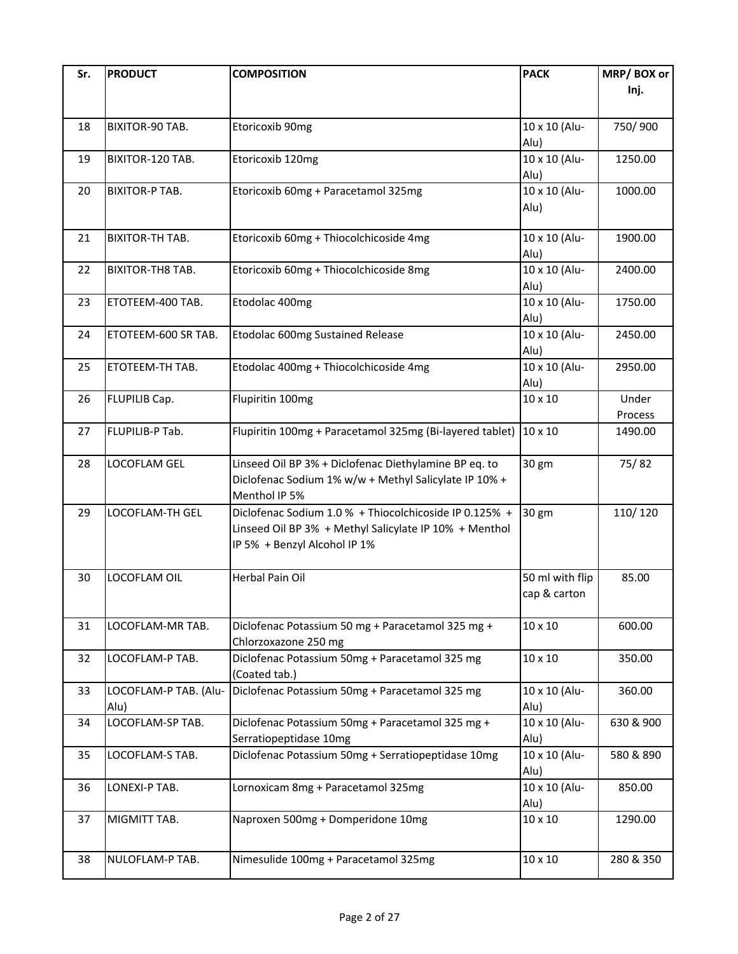| Sr. | <b>PRODUCT</b>          | <b>COMPOSITION</b>                                               | <b>PACK</b>     | MRP/BOX or |
|-----|-------------------------|------------------------------------------------------------------|-----------------|------------|
|     |                         |                                                                  |                 | Inj.       |
|     |                         |                                                                  |                 |            |
| 18  | BIXITOR-90 TAB.         | Etoricoxib 90mg                                                  | 10 x 10 (Alu-   | 750/900    |
|     |                         |                                                                  | Alu)            |            |
| 19  | BIXITOR-120 TAB.        | Etoricoxib 120mg                                                 | 10 x 10 (Alu-   | 1250.00    |
|     |                         |                                                                  | Alu)            |            |
| 20  | <b>BIXITOR-P TAB.</b>   | Etoricoxib 60mg + Paracetamol 325mg                              | 10 x 10 (Alu-   | 1000.00    |
|     |                         |                                                                  | Alu)            |            |
|     |                         |                                                                  |                 |            |
| 21  | <b>BIXITOR-TH TAB.</b>  | Etoricoxib 60mg + Thiocolchicoside 4mg                           | 10 x 10 (Alu-   | 1900.00    |
|     |                         |                                                                  | Alu)            |            |
| 22  | <b>BIXITOR-TH8 TAB.</b> | Etoricoxib 60mg + Thiocolchicoside 8mg                           | 10 x 10 (Alu-   | 2400.00    |
|     |                         |                                                                  | Alu)            |            |
| 23  | ETOTEEM-400 TAB.        | Etodolac 400mg                                                   | 10 x 10 (Alu-   | 1750.00    |
|     |                         |                                                                  | Alu)            |            |
| 24  | ETOTEEM-600 SR TAB.     | Etodolac 600mg Sustained Release                                 | 10 x 10 (Alu-   | 2450.00    |
|     |                         |                                                                  | Alu)            |            |
| 25  | ETOTEEM-TH TAB.         | Etodolac 400mg + Thiocolchicoside 4mg                            | 10 x 10 (Alu-   | 2950.00    |
|     |                         |                                                                  | Alu)            |            |
| 26  | FLUPILIB Cap.           | Flupiritin 100mg                                                 | 10 x 10         | Under      |
|     |                         |                                                                  |                 | Process    |
| 27  | FLUPILIB-P Tab.         | Flupiritin 100mg + Paracetamol 325mg (Bi-layered tablet) 10 x 10 |                 | 1490.00    |
|     |                         |                                                                  |                 |            |
| 28  | LOCOFLAM GEL            | Linseed Oil BP 3% + Diclofenac Diethylamine BP eq. to            | 30 gm           | 75/82      |
|     |                         | Diclofenac Sodium 1% w/w + Methyl Salicylate IP 10% +            |                 |            |
|     |                         | Menthol IP 5%                                                    |                 |            |
| 29  | LOCOFLAM-TH GEL         | Diclofenac Sodium 1.0 % + Thiocolchicoside IP 0.125% +           | 30 gm           | 110/120    |
|     |                         | Linseed Oil BP 3% + Methyl Salicylate IP 10% + Menthol           |                 |            |
|     |                         | IP 5% + Benzyl Alcohol IP 1%                                     |                 |            |
|     |                         |                                                                  |                 |            |
| 30  | LOCOFLAM OIL            | Herbal Pain Oil                                                  | 50 ml with flip | 85.00      |
|     |                         |                                                                  | cap & carton    |            |
|     |                         |                                                                  |                 |            |
| 31  | LOCOFLAM-MR TAB.        | Diclofenac Potassium 50 mg + Paracetamol 325 mg +                | $10 \times 10$  | 600.00     |
|     |                         | Chlorzoxazone 250 mg                                             |                 |            |
| 32  | LOCOFLAM-P TAB.         | Diclofenac Potassium 50mg + Paracetamol 325 mg                   | $10 \times 10$  | 350.00     |
|     |                         | (Coated tab.)                                                    |                 |            |
| 33  | LOCOFLAM-P TAB. (Alu-   | Diclofenac Potassium 50mg + Paracetamol 325 mg                   | 10 x 10 (Alu-   | 360.00     |
|     | Alu)                    |                                                                  | Alu)            |            |
| 34  | LOCOFLAM-SP TAB.        | Diclofenac Potassium 50mg + Paracetamol 325 mg +                 | 10 x 10 (Alu-   | 630 & 900  |
|     |                         | Serratiopeptidase 10mg                                           | Alu)            |            |
| 35  | LOCOFLAM-S TAB.         | Diclofenac Potassium 50mg + Serratiopeptidase 10mg               | 10 x 10 (Alu-   | 580 & 890  |
|     |                         |                                                                  | Alu)            |            |
| 36  | LONEXI-P TAB.           | Lornoxicam 8mg + Paracetamol 325mg                               | 10 x 10 (Alu-   | 850.00     |
|     |                         |                                                                  | Alu)            |            |
| 37  | MIGMITT TAB.            | Naproxen 500mg + Domperidone 10mg                                | $10 \times 10$  | 1290.00    |
|     |                         |                                                                  |                 |            |
| 38  | NULOFLAM-P TAB.         | Nimesulide 100mg + Paracetamol 325mg                             | $10 \times 10$  | 280 & 350  |
|     |                         |                                                                  |                 |            |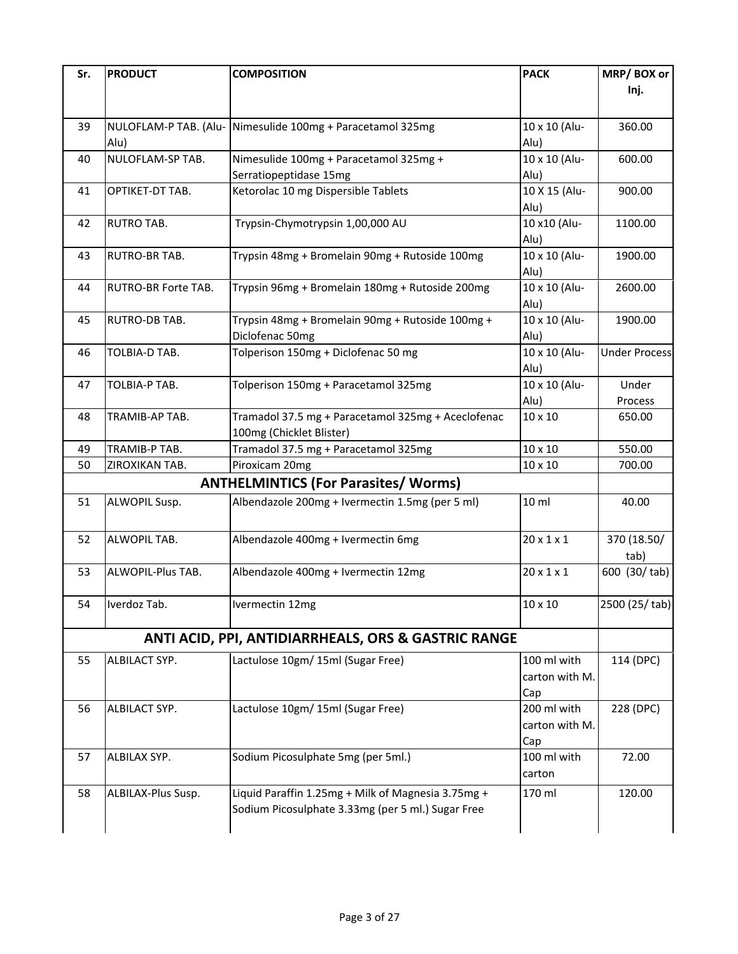| Sr. | <b>PRODUCT</b>         | <b>COMPOSITION</b>                                                                                      | <b>PACK</b>                          | MRP/BOX or<br>Inj.   |
|-----|------------------------|---------------------------------------------------------------------------------------------------------|--------------------------------------|----------------------|
| 39  | Alu)                   | NULOFLAM-P TAB. (Alu- Nimesulide 100mg + Paracetamol 325mg                                              | 10 x 10 (Alu-<br>Alu)                | 360.00               |
| 40  | NULOFLAM-SP TAB.       | Nimesulide 100mg + Paracetamol 325mg +<br>Serratiopeptidase 15mg                                        | 10 x 10 (Alu-<br>Alu)                | 600.00               |
| 41  | OPTIKET-DT TAB.        | Ketorolac 10 mg Dispersible Tablets                                                                     | 10 X 15 (Alu-<br>Alu)                | 900.00               |
| 42  | <b>RUTRO TAB.</b>      | Trypsin-Chymotrypsin 1,00,000 AU                                                                        | 10 x10 (Alu-<br>Alu)                 | 1100.00              |
| 43  | RUTRO-BR TAB.          | Trypsin 48mg + Bromelain 90mg + Rutoside 100mg                                                          | 10 x 10 (Alu-<br>Alu)                | 1900.00              |
| 44  | RUTRO-BR Forte TAB.    | Trypsin 96mg + Bromelain 180mg + Rutoside 200mg                                                         | 10 x 10 (Alu-<br>Alu)                | 2600.00              |
| 45  | RUTRO-DB TAB.          | Trypsin 48mg + Bromelain 90mg + Rutoside 100mg +<br>Diclofenac 50mg                                     | 10 x 10 (Alu-<br>Alu)                | 1900.00              |
| 46  | TOLBIA-D TAB.          | Tolperison 150mg + Diclofenac 50 mg                                                                     | 10 x 10 (Alu-<br>Alu)                | <b>Under Process</b> |
| 47  | TOLBIA-P TAB.          | Tolperison 150mg + Paracetamol 325mg                                                                    | 10 x 10 (Alu-<br>Alu)                | Under<br>Process     |
| 48  | TRAMIB-AP TAB.         | Tramadol 37.5 mg + Paracetamol 325mg + Aceclofenac<br>100mg (Chicklet Blister)                          | 10 x 10                              | 650.00               |
| 49  | TRAMIB-P TAB.          | Tramadol 37.5 mg + Paracetamol 325mg                                                                    | 10 x 10                              | 550.00               |
| 50  | ZIROXIKAN TAB.         | Piroxicam 20mg                                                                                          | 10 x 10                              | 700.00               |
|     |                        | <b>ANTHELMINTICS (For Parasites/ Worms)</b>                                                             |                                      |                      |
| 51  | ALWOPIL Susp.          | Albendazole 200mg + Ivermectin 1.5mg (per 5 ml)                                                         | 10 ml                                | 40.00                |
| 52  | ALWOPIL TAB.           | Albendazole 400mg + Ivermectin 6mg                                                                      | $20 \times 1 \times 1$               | 370 (18.50/<br>tab)  |
| 53  | ALWOPIL-Plus TAB.      | Albendazole 400mg + Ivermectin 12mg                                                                     | $20 \times 1 \times 1$               | 600 (30/tab)         |
|     | 54 <b>Iverdoz</b> Tab. | Ivermectin 12mg                                                                                         | $10 \times 10$                       | 2500 (25/tab)        |
|     |                        | ANTI ACID, PPI, ANTIDIARRHEALS, ORS & GASTRIC RANGE                                                     |                                      |                      |
| 55  | ALBILACT SYP.          | Lactulose 10gm/ 15ml (Sugar Free)                                                                       | 100 ml with<br>carton with M.<br>Cap | 114 (DPC)            |
| 56  | ALBILACT SYP.          | Lactulose 10gm/ 15ml (Sugar Free)                                                                       | 200 ml with<br>carton with M.<br>Cap | 228 (DPC)            |
| 57  | ALBILAX SYP.           | Sodium Picosulphate 5mg (per 5ml.)                                                                      | 100 ml with<br>carton                | 72.00                |
| 58  | ALBILAX-Plus Susp.     | Liquid Paraffin 1.25mg + Milk of Magnesia 3.75mg +<br>Sodium Picosulphate 3.33mg (per 5 ml.) Sugar Free | 170 ml                               | 120.00               |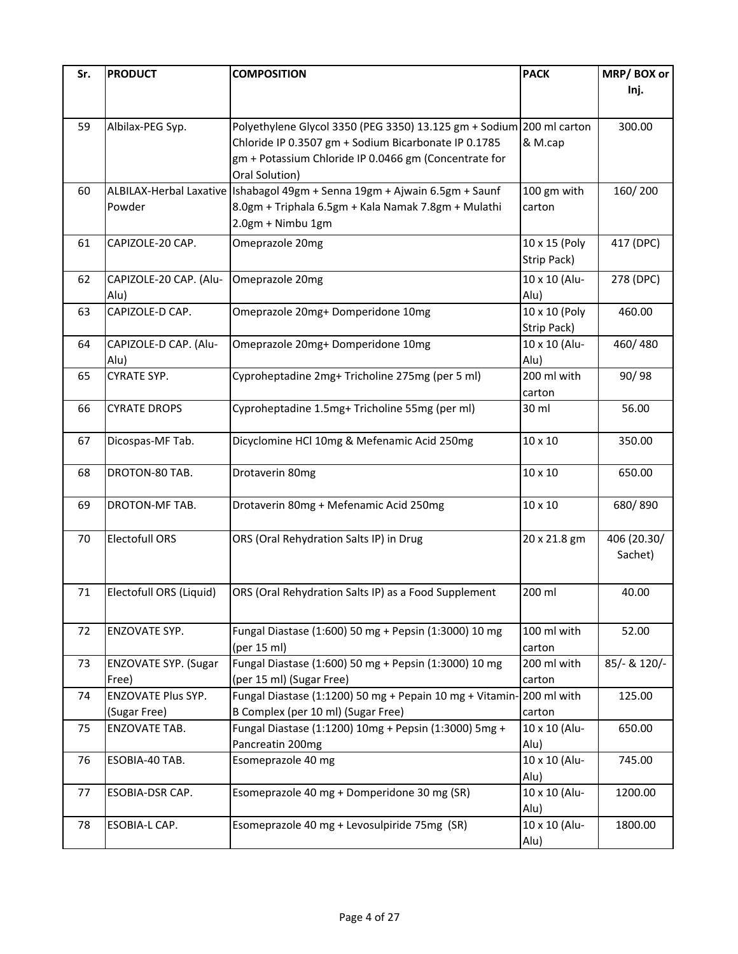| Sr. | <b>PRODUCT</b>              | <b>COMPOSITION</b>                                                           | <b>PACK</b>   | MRP/BOX or   |
|-----|-----------------------------|------------------------------------------------------------------------------|---------------|--------------|
|     |                             |                                                                              |               | Inj.         |
|     |                             |                                                                              |               |              |
| 59  | Albilax-PEG Syp.            | Polyethylene Glycol 3350 (PEG 3350) 13.125 gm + Sodium 200 ml carton         |               | 300.00       |
|     |                             | Chloride IP 0.3507 gm + Sodium Bicarbonate IP 0.1785                         | & M.cap       |              |
|     |                             | gm + Potassium Chloride IP 0.0466 gm (Concentrate for                        |               |              |
|     |                             | Oral Solution)                                                               |               |              |
| 60  |                             | ALBILAX-Herbal Laxative   Ishabagol 49gm + Senna 19gm + Ajwain 6.5gm + Saunf | 100 gm with   | 160/200      |
|     | Powder                      | 8.0gm + Triphala 6.5gm + Kala Namak 7.8gm + Mulathi                          | carton        |              |
|     |                             | 2.0gm + Nimbu 1gm                                                            |               |              |
|     |                             |                                                                              |               |              |
| 61  | CAPIZOLE-20 CAP.            | Omeprazole 20mg                                                              | 10 x 15 (Poly | 417 (DPC)    |
|     |                             |                                                                              | Strip Pack)   |              |
| 62  | CAPIZOLE-20 CAP. (Alu-      | Omeprazole 20mg                                                              | 10 x 10 (Alu- | 278 (DPC)    |
|     | Alu)                        |                                                                              | Alu)          |              |
| 63  | CAPIZOLE-D CAP.             | Omeprazole 20mg+ Domperidone 10mg                                            | 10 x 10 (Poly | 460.00       |
|     |                             |                                                                              | Strip Pack)   |              |
| 64  | CAPIZOLE-D CAP. (Alu-       | Omeprazole 20mg+ Domperidone 10mg                                            | 10 x 10 (Alu- | 460/480      |
|     | Alu)                        |                                                                              | Alu)          |              |
| 65  | <b>CYRATE SYP.</b>          | Cyproheptadine 2mg+ Tricholine 275mg (per 5 ml)                              | 200 ml with   | 90/98        |
|     |                             |                                                                              | carton        |              |
| 66  | <b>CYRATE DROPS</b>         | Cyproheptadine 1.5mg+ Tricholine 55mg (per ml)                               | 30 ml         | 56.00        |
|     |                             |                                                                              |               |              |
| 67  | Dicospas-MF Tab.            | Dicyclomine HCl 10mg & Mefenamic Acid 250mg                                  | 10 x 10       | 350.00       |
|     |                             |                                                                              |               |              |
| 68  | DROTON-80 TAB.              | Drotaverin 80mg                                                              | 10 x 10       | 650.00       |
|     |                             |                                                                              |               |              |
| 69  | DROTON-MF TAB.              | Drotaverin 80mg + Mefenamic Acid 250mg                                       | 10 x 10       | 680/890      |
|     |                             |                                                                              |               |              |
| 70  | <b>Electofull ORS</b>       | ORS (Oral Rehydration Salts IP) in Drug                                      | 20 x 21.8 gm  | 406 (20.30/  |
|     |                             |                                                                              |               | Sachet)      |
|     |                             |                                                                              |               |              |
| 71  | Electofull ORS (Liquid)     | ORS (Oral Rehydration Salts IP) as a Food Supplement                         | 200 ml        | 40.00        |
|     |                             |                                                                              |               |              |
| 72  |                             |                                                                              | 100 ml with   | 52.00        |
|     | ENZOVATE SYP.               | Fungal Diastase (1:600) 50 mg + Pepsin (1:3000) 10 mg<br>(per 15 ml)         | carton        |              |
| 73  | <b>ENZOVATE SYP. (Sugar</b> | Fungal Diastase (1:600) 50 mg + Pepsin (1:3000) 10 mg                        | 200 ml with   | 85/- & 120/- |
|     | Free)                       | (per 15 ml) (Sugar Free)                                                     | carton        |              |
| 74  | ENZOVATE Plus SYP.          | Fungal Diastase (1:1200) 50 mg + Pepain 10 mg + Vitamin-200 ml with          |               | 125.00       |
|     | (Sugar Free)                | B Complex (per 10 ml) (Sugar Free)                                           | carton        |              |
| 75  | ENZOVATE TAB.               | Fungal Diastase (1:1200) 10mg + Pepsin (1:3000) 5mg +                        | 10 x 10 (Alu- | 650.00       |
|     |                             | Pancreatin 200mg                                                             | Alu)          |              |
| 76  | ESOBIA-40 TAB.              | Esomeprazole 40 mg                                                           | 10 x 10 (Alu- | 745.00       |
|     |                             |                                                                              | Alu)          |              |
| 77  | ESOBIA-DSR CAP.             | Esomeprazole 40 mg + Domperidone 30 mg (SR)                                  | 10 x 10 (Alu- | 1200.00      |
|     |                             |                                                                              | Alu)          |              |
| 78  | ESOBIA-L CAP.               | Esomeprazole 40 mg + Levosulpiride 75mg (SR)                                 | 10 x 10 (Alu- | 1800.00      |
|     |                             |                                                                              | Alu)          |              |
|     |                             |                                                                              |               |              |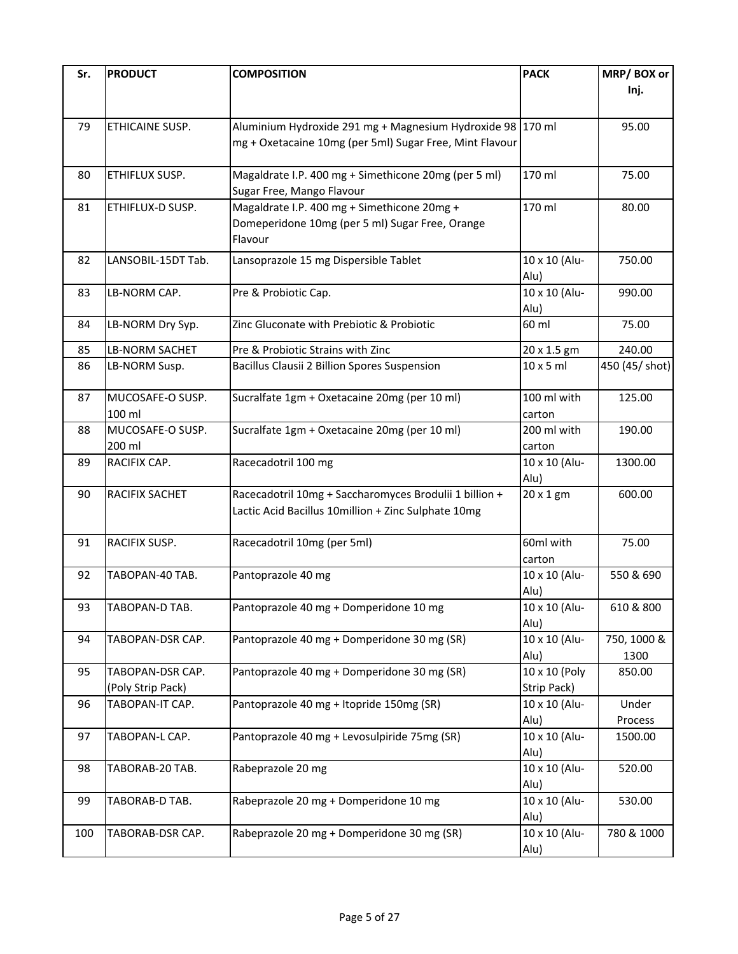| Inj.<br>ETHICAINE SUSP.<br>Aluminium Hydroxide 291 mg + Magnesium Hydroxide 98 170 ml<br>79<br>95.00<br>mg + Oxetacaine 10mg (per 5ml) Sugar Free, Mint Flavour<br>170 ml<br>Magaldrate I.P. 400 mg + Simethicone 20mg (per 5 ml)<br>75.00<br>80<br>ETHIFLUX SUSP.<br>Sugar Free, Mango Flavour<br>Magaldrate I.P. 400 mg + Simethicone 20mg +<br>170 ml<br>ETHIFLUX-D SUSP.<br>80.00<br>81<br>Domeperidone 10mg (per 5 ml) Sugar Free, Orange |
|------------------------------------------------------------------------------------------------------------------------------------------------------------------------------------------------------------------------------------------------------------------------------------------------------------------------------------------------------------------------------------------------------------------------------------------------|
|                                                                                                                                                                                                                                                                                                                                                                                                                                                |
|                                                                                                                                                                                                                                                                                                                                                                                                                                                |
|                                                                                                                                                                                                                                                                                                                                                                                                                                                |
|                                                                                                                                                                                                                                                                                                                                                                                                                                                |
|                                                                                                                                                                                                                                                                                                                                                                                                                                                |
|                                                                                                                                                                                                                                                                                                                                                                                                                                                |
|                                                                                                                                                                                                                                                                                                                                                                                                                                                |
|                                                                                                                                                                                                                                                                                                                                                                                                                                                |
| Flavour                                                                                                                                                                                                                                                                                                                                                                                                                                        |
| 10 x 10 (Alu-<br>750.00<br>82<br>LANSOBIL-15DT Tab.<br>Lansoprazole 15 mg Dispersible Tablet                                                                                                                                                                                                                                                                                                                                                   |
| Alu)                                                                                                                                                                                                                                                                                                                                                                                                                                           |
| 10 x 10 (Alu-<br>LB-NORM CAP.<br>990.00<br>83<br>Pre & Probiotic Cap.                                                                                                                                                                                                                                                                                                                                                                          |
| Alu)                                                                                                                                                                                                                                                                                                                                                                                                                                           |
| 75.00<br>LB-NORM Dry Syp.<br>Zinc Gluconate with Prebiotic & Probiotic<br>60 ml<br>84                                                                                                                                                                                                                                                                                                                                                          |
| <b>LB-NORM SACHET</b><br>240.00<br>85<br>Pre & Probiotic Strains with Zinc<br>20 x 1.5 gm                                                                                                                                                                                                                                                                                                                                                      |
| $10 \times 5$ ml<br>450 (45/ shot)<br>LB-NORM Susp.<br>Bacillus Clausii 2 Billion Spores Suspension<br>86                                                                                                                                                                                                                                                                                                                                      |
|                                                                                                                                                                                                                                                                                                                                                                                                                                                |
| Sucralfate 1gm + Oxetacaine 20mg (per 10 ml)<br>125.00<br>MUCOSAFE-O SUSP.<br>100 ml with<br>87                                                                                                                                                                                                                                                                                                                                                |
| 100 ml<br>carton                                                                                                                                                                                                                                                                                                                                                                                                                               |
| MUCOSAFE-O SUSP.<br>Sucralfate 1gm + Oxetacaine 20mg (per 10 ml)<br>88<br>200 ml with<br>190.00                                                                                                                                                                                                                                                                                                                                                |
| 200 ml<br>carton<br>RACIFIX CAP.<br>Racecadotril 100 mg<br>10 x 10 (Alu-<br>1300.00<br>89                                                                                                                                                                                                                                                                                                                                                      |
| Alu)                                                                                                                                                                                                                                                                                                                                                                                                                                           |
| RACIFIX SACHET<br>Racecadotril 10mg + Saccharomyces Brodulii 1 billion +<br>600.00<br>20 x 1 gm<br>90                                                                                                                                                                                                                                                                                                                                          |
| Lactic Acid Bacillus 10million + Zinc Sulphate 10mg                                                                                                                                                                                                                                                                                                                                                                                            |
|                                                                                                                                                                                                                                                                                                                                                                                                                                                |
| Racecadotril 10mg (per 5ml)<br>60ml with<br>75.00<br>RACIFIX SUSP.<br>91                                                                                                                                                                                                                                                                                                                                                                       |
| carton                                                                                                                                                                                                                                                                                                                                                                                                                                         |
| 10 x 10 (Alu-<br>550 & 690<br>92<br>TABOPAN-40 TAB.<br>Pantoprazole 40 mg                                                                                                                                                                                                                                                                                                                                                                      |
| Alu)                                                                                                                                                                                                                                                                                                                                                                                                                                           |
| 93<br>TABOPAN-D TAB.<br>Pantoprazole 40 mg + Domperidone 10 mg<br>10 x 10 (Alu-<br>610 & 800<br>Alu)                                                                                                                                                                                                                                                                                                                                           |
| 10 x 10 (Alu-<br>750, 1000 &<br>Pantoprazole 40 mg + Domperidone 30 mg (SR)<br>94<br>TABOPAN-DSR CAP.                                                                                                                                                                                                                                                                                                                                          |
| Alu)<br>1300                                                                                                                                                                                                                                                                                                                                                                                                                                   |
| Pantoprazole 40 mg + Domperidone 30 mg (SR)<br>10 x 10 (Poly<br>TABOPAN-DSR CAP.<br>850.00<br>95                                                                                                                                                                                                                                                                                                                                               |
| (Poly Strip Pack)<br>Strip Pack)                                                                                                                                                                                                                                                                                                                                                                                                               |
| Pantoprazole 40 mg + Itopride 150mg (SR)<br>10 x 10 (Alu-<br>TABOPAN-IT CAP.<br>Under<br>96                                                                                                                                                                                                                                                                                                                                                    |
| Alu)<br>Process                                                                                                                                                                                                                                                                                                                                                                                                                                |
| 10 x 10 (Alu-<br>Pantoprazole 40 mg + Levosulpiride 75mg (SR)<br>TABOPAN-L CAP.<br>1500.00<br>97                                                                                                                                                                                                                                                                                                                                               |
| Alu)                                                                                                                                                                                                                                                                                                                                                                                                                                           |
| 10 x 10 (Alu-<br>Rabeprazole 20 mg<br>520.00<br>TABORAB-20 TAB.<br>98<br>Alu)                                                                                                                                                                                                                                                                                                                                                                  |
| 10 x 10 (Alu-<br>Rabeprazole 20 mg + Domperidone 10 mg<br>530.00<br>99<br>TABORAB-D TAB.                                                                                                                                                                                                                                                                                                                                                       |
| Alu)                                                                                                                                                                                                                                                                                                                                                                                                                                           |
| 10 x 10 (Alu-<br>Rabeprazole 20 mg + Domperidone 30 mg (SR)<br>780 & 1000<br>100<br>TABORAB-DSR CAP.                                                                                                                                                                                                                                                                                                                                           |
| Alu)                                                                                                                                                                                                                                                                                                                                                                                                                                           |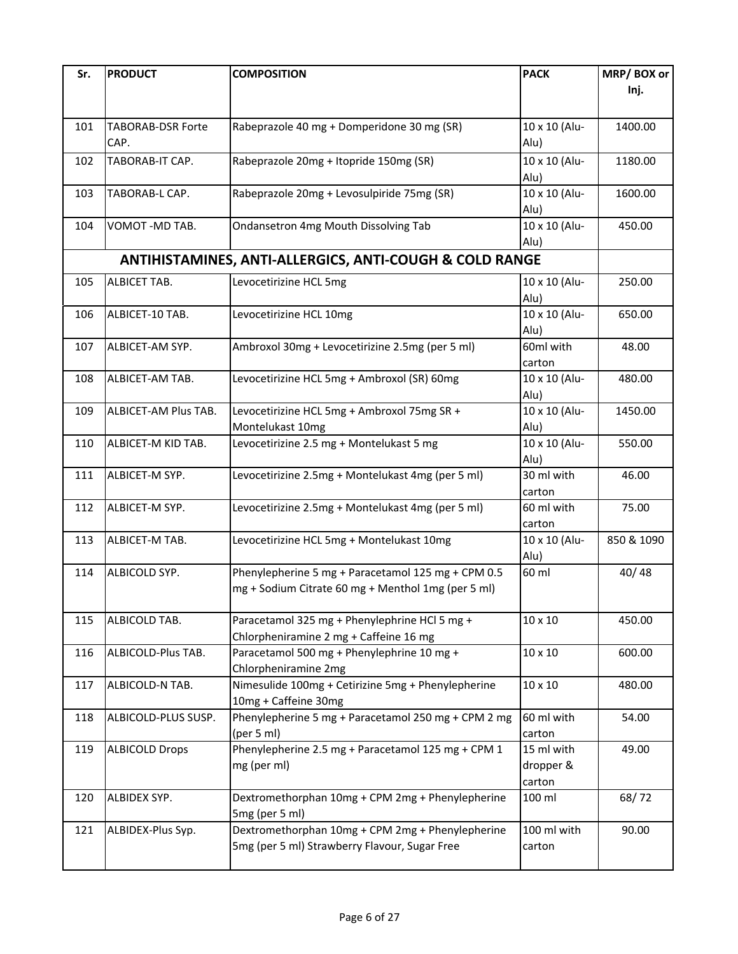| Sr. | <b>PRODUCT</b>           | <b>COMPOSITION</b>                                                 | <b>PACK</b>    | MRP/BOX or |
|-----|--------------------------|--------------------------------------------------------------------|----------------|------------|
|     |                          |                                                                    |                | Inj.       |
|     |                          |                                                                    |                |            |
|     |                          |                                                                    |                |            |
| 101 | <b>TABORAB-DSR Forte</b> | Rabeprazole 40 mg + Domperidone 30 mg (SR)                         | 10 x 10 (Alu-  | 1400.00    |
|     | CAP.                     |                                                                    | Alu)           |            |
| 102 | TABORAB-IT CAP.          | Rabeprazole 20mg + Itopride 150mg (SR)                             | 10 x 10 (Alu-  | 1180.00    |
|     |                          |                                                                    | Alu)           |            |
| 103 | TABORAB-L CAP.           | Rabeprazole 20mg + Levosulpiride 75mg (SR)                         | 10 x 10 (Alu-  | 1600.00    |
|     |                          |                                                                    | Alu)           |            |
| 104 | VOMOT-MD TAB.            | Ondansetron 4mg Mouth Dissolving Tab                               | 10 x 10 (Alu-  | 450.00     |
|     |                          |                                                                    | Alu)           |            |
|     |                          | <b>ANTIHISTAMINES, ANTI-ALLERGICS, ANTI-COUGH &amp; COLD RANGE</b> |                |            |
| 105 | ALBICET TAB.             | Levocetirizine HCL 5mg                                             | 10 x 10 (Alu-  | 250.00     |
|     |                          |                                                                    | Alu)           |            |
| 106 | ALBICET-10 TAB.          | Levocetirizine HCL 10mg                                            | 10 x 10 (Alu-  | 650.00     |
|     |                          |                                                                    | Alu)           |            |
| 107 | ALBICET-AM SYP.          | Ambroxol 30mg + Levocetirizine 2.5mg (per 5 ml)                    | 60ml with      | 48.00      |
|     |                          |                                                                    | carton         |            |
| 108 | ALBICET-AM TAB.          | Levocetirizine HCL 5mg + Ambroxol (SR) 60mg                        | 10 x 10 (Alu-  | 480.00     |
|     |                          |                                                                    | Alu)           |            |
| 109 | ALBICET-AM Plus TAB.     | Levocetirizine HCL 5mg + Ambroxol 75mg SR +                        | 10 x 10 (Alu-  | 1450.00    |
|     |                          | Montelukast 10mg                                                   | Alu)           |            |
| 110 | ALBICET-M KID TAB.       | Levocetirizine 2.5 mg + Montelukast 5 mg                           | 10 x 10 (Alu-  | 550.00     |
|     |                          |                                                                    | Alu)           |            |
| 111 | ALBICET-M SYP.           | Levocetirizine 2.5mg + Montelukast 4mg (per 5 ml)                  | 30 ml with     | 46.00      |
|     |                          |                                                                    | carton         |            |
| 112 | ALBICET-M SYP.           | Levocetirizine 2.5mg + Montelukast 4mg (per 5 ml)                  | 60 ml with     | 75.00      |
|     |                          |                                                                    | carton         |            |
| 113 | ALBICET-M TAB.           | Levocetirizine HCL 5mg + Montelukast 10mg                          | 10 x 10 (Alu-  | 850 & 1090 |
|     |                          |                                                                    | Alu)           |            |
| 114 | ALBICOLD SYP.            | Phenylepherine 5 mg + Paracetamol 125 mg + CPM 0.5                 | 60 ml          | 40/48      |
|     |                          | mg + Sodium Citrate 60 mg + Menthol 1mg (per 5 ml)                 |                |            |
|     |                          |                                                                    |                |            |
| 115 | ALBICOLD TAB.            | Paracetamol 325 mg + Phenylephrine HCl 5 mg +                      | 10 x 10        | 450.00     |
|     |                          | Chlorpheniramine 2 mg + Caffeine 16 mg                             |                |            |
| 116 | ALBICOLD-Plus TAB.       | Paracetamol 500 mg + Phenylephrine 10 mg +                         | 10 x 10        | 600.00     |
|     |                          | Chlorpheniramine 2mg                                               |                |            |
| 117 | ALBICOLD-N TAB.          | Nimesulide 100mg + Cetirizine 5mg + Phenylepherine                 | $10 \times 10$ | 480.00     |
|     |                          | 10mg + Caffeine 30mg                                               |                |            |
| 118 | ALBICOLD-PLUS SUSP.      | Phenylepherine 5 mg + Paracetamol 250 mg + CPM 2 mg                | 60 ml with     | 54.00      |
|     |                          | (per 5 ml)                                                         | carton         |            |
| 119 | <b>ALBICOLD Drops</b>    | Phenylepherine 2.5 mg + Paracetamol 125 mg + CPM 1                 | 15 ml with     | 49.00      |
|     |                          | mg (per ml)                                                        | dropper &      |            |
|     |                          |                                                                    | carton         |            |
| 120 | ALBIDEX SYP.             | Dextromethorphan 10mg + CPM 2mg + Phenylepherine                   | 100 ml         | 68/72      |
|     |                          | 5mg (per 5 ml)                                                     |                |            |
| 121 | ALBIDEX-Plus Syp.        | Dextromethorphan 10mg + CPM 2mg + Phenylepherine                   | 100 ml with    | 90.00      |
|     |                          | 5mg (per 5 ml) Strawberry Flavour, Sugar Free                      | carton         |            |
|     |                          |                                                                    |                |            |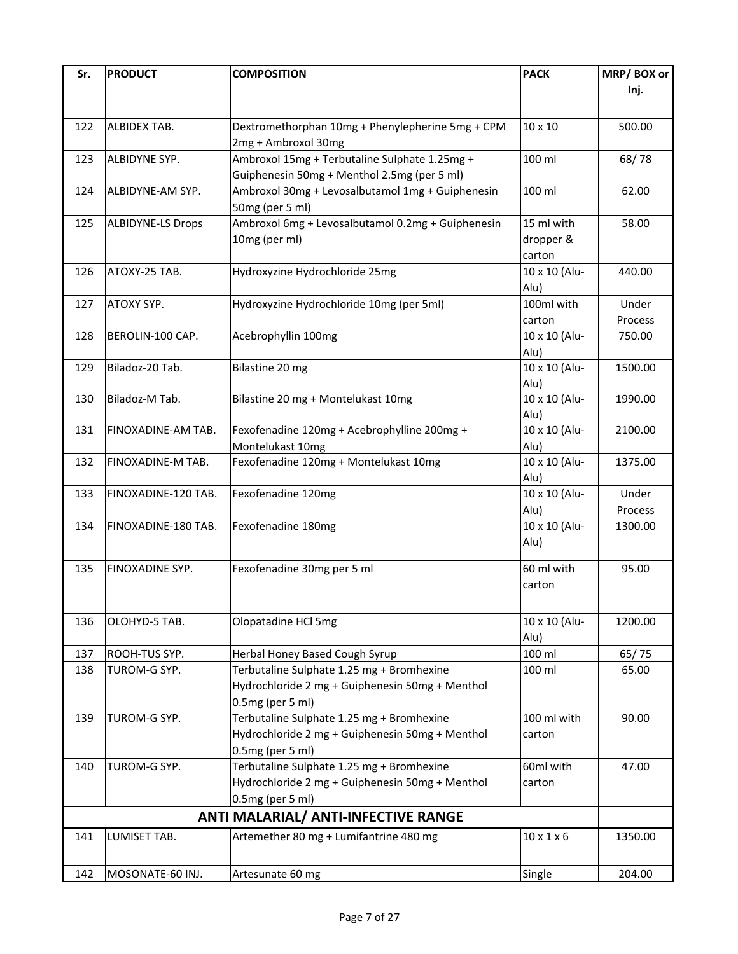| Sr. | <b>PRODUCT</b>           | <b>COMPOSITION</b>                                | <b>PACK</b>            | MRP/BOX or |
|-----|--------------------------|---------------------------------------------------|------------------------|------------|
|     |                          |                                                   |                        | Inj.       |
|     |                          |                                                   |                        |            |
| 122 | ALBIDEX TAB.             | Dextromethorphan 10mg + Phenylepherine 5mg + CPM  | 10 x 10                | 500.00     |
|     |                          | 2mg + Ambroxol 30mg                               |                        |            |
| 123 | ALBIDYNE SYP.            | Ambroxol 15mg + Terbutaline Sulphate 1.25mg +     | 100 ml                 | 68/78      |
|     |                          | Guiphenesin 50mg + Menthol 2.5mg (per 5 ml)       |                        |            |
| 124 | ALBIDYNE-AM SYP.         | Ambroxol 30mg + Levosalbutamol 1mg + Guiphenesin  | 100 ml                 | 62.00      |
|     |                          | 50mg (per 5 ml)                                   |                        |            |
| 125 | <b>ALBIDYNE-LS Drops</b> | Ambroxol 6mg + Levosalbutamol 0.2mg + Guiphenesin | 15 ml with             | 58.00      |
|     |                          | 10mg (per ml)                                     | dropper &              |            |
|     |                          |                                                   | carton                 |            |
| 126 | ATOXY-25 TAB.            | Hydroxyzine Hydrochloride 25mg                    | 10 x 10 (Alu-          | 440.00     |
|     |                          |                                                   | Alu)                   |            |
| 127 | ATOXY SYP.               | Hydroxyzine Hydrochloride 10mg (per 5ml)          | 100ml with             | Under      |
|     |                          |                                                   | carton                 | Process    |
| 128 | BEROLIN-100 CAP.         | Acebrophyllin 100mg                               | 10 x 10 (Alu-          | 750.00     |
|     |                          |                                                   |                        |            |
| 129 | Biladoz-20 Tab.          | Bilastine 20 mg                                   | Alu)<br>10 x 10 (Alu-  | 1500.00    |
|     |                          |                                                   | Alu)                   |            |
| 130 | Biladoz-M Tab.           | Bilastine 20 mg + Montelukast 10mg                | 10 x 10 (Alu-          | 1990.00    |
|     |                          |                                                   | Alu)                   |            |
| 131 | FINOXADINE-AM TAB.       | Fexofenadine 120mg + Acebrophylline 200mg +       | 10 x 10 (Alu-          | 2100.00    |
|     |                          | Montelukast 10mg                                  | Alu)                   |            |
| 132 | FINOXADINE-M TAB.        | Fexofenadine 120mg + Montelukast 10mg             | 10 x 10 (Alu-          | 1375.00    |
|     |                          |                                                   | Alu)                   |            |
| 133 | FINOXADINE-120 TAB.      | Fexofenadine 120mg                                | 10 x 10 (Alu-          | Under      |
|     |                          |                                                   | Alu)                   | Process    |
| 134 | FINOXADINE-180 TAB.      | Fexofenadine 180mg                                | 10 x 10 (Alu-          | 1300.00    |
|     |                          |                                                   | Alu)                   |            |
|     |                          |                                                   |                        |            |
| 135 | <b>FINOXADINE SYP.</b>   | Fexofenadine 30mg per 5 ml                        | 60 ml with             | 95.00      |
|     |                          |                                                   | carton                 |            |
|     |                          |                                                   |                        |            |
| 136 | OLOHYD-5 TAB.            | Olopatadine HCl 5mg                               | 10 x 10 (Alu-          | 1200.00    |
|     |                          |                                                   | Alu)                   |            |
| 137 | ROOH-TUS SYP.            | Herbal Honey Based Cough Syrup                    | 100 ml                 | 65/75      |
| 138 | TUROM-G SYP.             | Terbutaline Sulphate 1.25 mg + Bromhexine         | 100 ml                 | 65.00      |
|     |                          | Hydrochloride 2 mg + Guiphenesin 50mg + Menthol   |                        |            |
|     |                          | 0.5mg (per 5 ml)                                  |                        |            |
| 139 | TUROM-G SYP.             | Terbutaline Sulphate 1.25 mg + Bromhexine         | 100 ml with            | 90.00      |
|     |                          | Hydrochloride 2 mg + Guiphenesin 50mg + Menthol   | carton                 |            |
|     |                          | 0.5mg (per 5 ml)                                  |                        |            |
| 140 | TUROM-G SYP.             | Terbutaline Sulphate 1.25 mg + Bromhexine         | 60ml with              | 47.00      |
|     |                          | Hydrochloride 2 mg + Guiphenesin 50mg + Menthol   | carton                 |            |
|     |                          | 0.5mg (per 5 ml)                                  |                        |            |
|     |                          | <b>ANTI MALARIAL/ ANTI-INFECTIVE RANGE</b>        |                        |            |
| 141 | LUMISET TAB.             | Artemether 80 mg + Lumifantrine 480 mg            | $10 \times 1 \times 6$ | 1350.00    |
|     |                          |                                                   |                        |            |
|     |                          |                                                   |                        |            |
| 142 | MOSONATE-60 INJ.         | Artesunate 60 mg                                  | Single                 | 204.00     |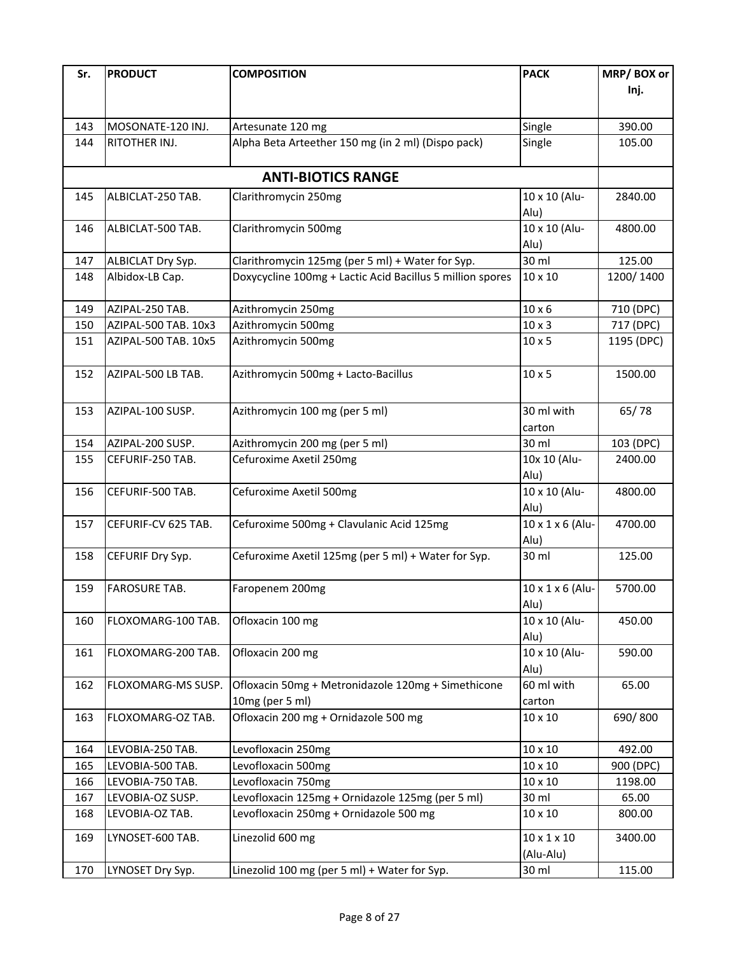| Sr.        | <b>PRODUCT</b>       | <b>COMPOSITION</b>                                        | <b>PACK</b>             | MRP/BOX or           |
|------------|----------------------|-----------------------------------------------------------|-------------------------|----------------------|
|            |                      |                                                           |                         | Inj.                 |
|            |                      |                                                           |                         |                      |
| 143        | MOSONATE-120 INJ.    | Artesunate 120 mg                                         | Single                  | 390.00               |
| 144        | RITOTHER INJ.        | Alpha Beta Arteether 150 mg (in 2 ml) (Dispo pack)        | Single                  | 105.00               |
|            |                      |                                                           |                         |                      |
|            |                      | <b>ANTI-BIOTICS RANGE</b>                                 |                         |                      |
|            |                      |                                                           |                         |                      |
| 145        | ALBICLAT-250 TAB.    | Clarithromycin 250mg                                      | 10 x 10 (Alu-           | 2840.00              |
|            |                      |                                                           | Alu)<br>10 x 10 (Alu-   |                      |
| 146        | ALBICLAT-500 TAB.    | Clarithromycin 500mg                                      | Alu)                    | 4800.00              |
| 147        | ALBICLAT Dry Syp.    | Clarithromycin 125mg (per 5 ml) + Water for Syp.          | 30 ml                   | 125.00               |
| 148        | Albidox-LB Cap.      | Doxycycline 100mg + Lactic Acid Bacillus 5 million spores | 10 x 10                 | 1200/1400            |
|            |                      |                                                           |                         |                      |
| 149        | AZIPAL-250 TAB.      | Azithromycin 250mg                                        | $10 \times 6$           | 710 (DPC)            |
| 150        | AZIPAL-500 TAB. 10x3 | Azithromycin 500mg                                        | $10 \times 3$           | 717 (DPC)            |
| 151        | AZIPAL-500 TAB. 10x5 | Azithromycin 500mg                                        | $10 \times 5$           | 1195 (DPC)           |
|            |                      |                                                           |                         |                      |
| 152        | AZIPAL-500 LB TAB.   | Azithromycin 500mg + Lacto-Bacillus                       | $10 \times 5$           | 1500.00              |
|            |                      |                                                           |                         |                      |
| 153        | AZIPAL-100 SUSP.     | Azithromycin 100 mg (per 5 ml)                            | 30 ml with              | 65/78                |
|            |                      |                                                           | carton                  |                      |
|            | AZIPAL-200 SUSP.     |                                                           | 30 ml                   |                      |
| 154<br>155 | CEFURIF-250 TAB.     | Azithromycin 200 mg (per 5 ml)<br>Cefuroxime Axetil 250mg | 10x 10 (Alu-            | 103 (DPC)<br>2400.00 |
|            |                      |                                                           | Alu)                    |                      |
| 156        | CEFURIF-500 TAB.     | Cefuroxime Axetil 500mg                                   | 10 x 10 (Alu-           | 4800.00              |
|            |                      |                                                           | Alu)                    |                      |
| 157        | CEFURIF-CV 625 TAB.  | Cefuroxime 500mg + Clavulanic Acid 125mg                  | 10 x 1 x 6 (Alu-        | 4700.00              |
|            |                      |                                                           | Alu)                    |                      |
| 158        | CEFURIF Dry Syp.     | Cefuroxime Axetil 125mg (per 5 ml) + Water for Syp.       | 30 ml                   | 125.00               |
|            |                      |                                                           |                         |                      |
| 159        | <b>FAROSURE TAB.</b> | Faropenem 200mg                                           | 10 x 1 x 6 (Alu-        | 5700.00              |
|            |                      |                                                           | Alu)                    |                      |
| 160        | FLOXOMARG-100 TAB.   | Ofloxacin 100 mg                                          | 10 x 10 (Alu-           | 450.00               |
|            |                      |                                                           | Alu)                    |                      |
| 161        | FLOXOMARG-200 TAB.   | Ofloxacin 200 mg                                          | 10 x 10 (Alu-           | 590.00               |
|            |                      |                                                           | Alu)                    |                      |
| 162        | FLOXOMARG-MS SUSP.   | Ofloxacin 50mg + Metronidazole 120mg + Simethicone        | 60 ml with              | 65.00                |
|            |                      | 10mg (per 5 ml)                                           | carton                  |                      |
| 163        | FLOXOMARG-OZ TAB.    | Ofloxacin 200 mg + Ornidazole 500 mg                      | 10 x 10                 | 690/800              |
|            |                      |                                                           |                         |                      |
| 164        | LEVOBIA-250 TAB.     | Levofloxacin 250mg                                        | 10 x 10                 | 492.00               |
| 165        | LEVOBIA-500 TAB.     | Levofloxacin 500mg                                        | 10 x 10                 | 900 (DPC)            |
| 166        | LEVOBIA-750 TAB.     | Levofloxacin 750mg                                        | 10 x 10                 | 1198.00              |
| 167        | LEVOBIA-OZ SUSP.     | Levofloxacin 125mg + Ornidazole 125mg (per 5 ml)          | 30 ml                   | 65.00                |
| 168        | LEVOBIA-OZ TAB.      | Levofloxacin 250mg + Ornidazole 500 mg                    | 10 x 10                 | 800.00               |
| 169        | LYNOSET-600 TAB.     | Linezolid 600 mg                                          | $10 \times 1 \times 10$ | 3400.00              |
|            |                      |                                                           | (Alu-Alu)               |                      |
| 170        | LYNOSET Dry Syp.     | Linezolid 100 mg (per 5 ml) + Water for Syp.              | 30 ml                   | 115.00               |
|            |                      |                                                           |                         |                      |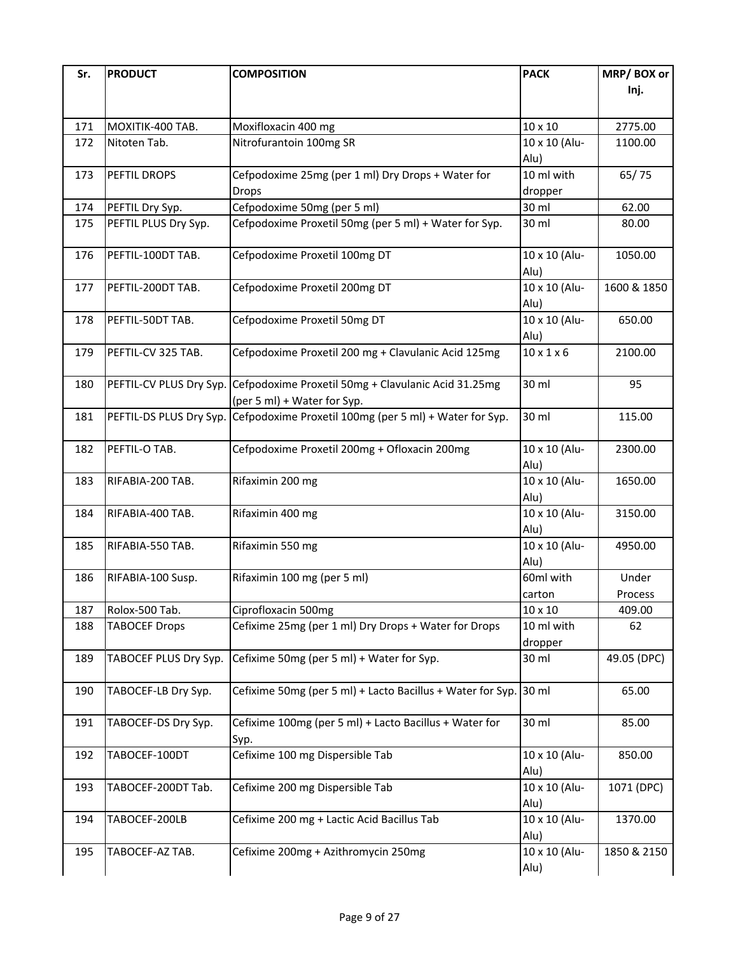| Sr. | <b>PRODUCT</b>          | <b>COMPOSITION</b>                                                                 | <b>PACK</b>            | MRP/BOX or        |
|-----|-------------------------|------------------------------------------------------------------------------------|------------------------|-------------------|
|     |                         |                                                                                    |                        | Inj.              |
| 171 | MOXITIK-400 TAB.        | Moxifloxacin 400 mg                                                                | 10 x 10                | 2775.00           |
| 172 | Nitoten Tab.            | Nitrofurantoin 100mg SR                                                            | 10 x 10 (Alu-          | 1100.00           |
|     |                         |                                                                                    | Alu)                   |                   |
| 173 | PEFTIL DROPS            | Cefpodoxime 25mg (per 1 ml) Dry Drops + Water for                                  | 10 ml with             | 65/75             |
|     |                         | <b>Drops</b>                                                                       | dropper                |                   |
| 174 | PEFTIL Dry Syp.         | Cefpodoxime 50mg (per 5 ml)                                                        | 30 ml                  | 62.00             |
| 175 | PEFTIL PLUS Dry Syp.    | Cefpodoxime Proxetil 50mg (per 5 ml) + Water for Syp.                              | 30 ml                  | 80.00             |
| 176 | PEFTIL-100DT TAB.       | Cefpodoxime Proxetil 100mg DT                                                      | 10 x 10 (Alu-<br>Alu)  | 1050.00           |
| 177 | PEFTIL-200DT TAB.       | Cefpodoxime Proxetil 200mg DT                                                      | 10 x 10 (Alu-<br>Alu)  | 1600 & 1850       |
| 178 | PEFTIL-50DT TAB.        | Cefpodoxime Proxetil 50mg DT                                                       | 10 x 10 (Alu-<br>Alu)  | 650.00            |
| 179 | PEFTIL-CV 325 TAB.      | Cefpodoxime Proxetil 200 mg + Clavulanic Acid 125mg                                | $10 \times 1 \times 6$ | 2100.00           |
| 180 | PEFTIL-CV PLUS Dry Syp. | Cefpodoxime Proxetil 50mg + Clavulanic Acid 31.25mg<br>(per 5 ml) + Water for Syp. | 30 ml                  | 95                |
| 181 | PEFTIL-DS PLUS Dry Syp. | Cefpodoxime Proxetil 100mg (per 5 ml) + Water for Syp.                             | 30 ml                  | 115.00            |
| 182 | PEFTIL-O TAB.           | Cefpodoxime Proxetil 200mg + Ofloxacin 200mg                                       | 10 x 10 (Alu-<br>Alu)  | 2300.00           |
| 183 | RIFABIA-200 TAB.        | Rifaximin 200 mg                                                                   | 10 x 10 (Alu-<br>Alu)  | 1650.00           |
| 184 | RIFABIA-400 TAB.        | Rifaximin 400 mg                                                                   | 10 x 10 (Alu-<br>Alu)  | 3150.00           |
| 185 | RIFABIA-550 TAB.        | Rifaximin 550 mg                                                                   | 10 x 10 (Alu-<br>Alu)  | 4950.00           |
| 186 | RIFABIA-100 Susp.       | Rifaximin 100 mg (per 5 ml)                                                        | 60ml with              | Under             |
| 187 | Rolox-500 Tab.          | Ciprofloxacin 500mg                                                                | carton<br>10 x 10      | Process<br>409.00 |
| 188 | <b>TABOCEF Drops</b>    | Cefixime 25mg (per 1 ml) Dry Drops + Water for Drops                               | 10 ml with<br>dropper  | 62                |
| 189 | TABOCEF PLUS Dry Syp.   | Cefixime 50mg (per 5 ml) + Water for Syp.                                          | 30 ml                  | 49.05 (DPC)       |
| 190 | TABOCEF-LB Dry Syp.     | Cefixime 50mg (per 5 ml) + Lacto Bacillus + Water for Syp.                         | 30 ml                  | 65.00             |
| 191 | TABOCEF-DS Dry Syp.     | Cefixime 100mg (per 5 ml) + Lacto Bacillus + Water for<br>Syp.                     | 30 ml                  | 85.00             |
| 192 | TABOCEF-100DT           | Cefixime 100 mg Dispersible Tab                                                    | 10 x 10 (Alu-<br>Alu)  | 850.00            |
| 193 | TABOCEF-200DT Tab.      | Cefixime 200 mg Dispersible Tab                                                    | 10 x 10 (Alu-<br>Alu)  | 1071 (DPC)        |
| 194 | TABOCEF-200LB           | Cefixime 200 mg + Lactic Acid Bacillus Tab                                         | 10 x 10 (Alu-<br>Alu)  | 1370.00           |
| 195 | TABOCEF-AZ TAB.         | Cefixime 200mg + Azithromycin 250mg                                                | 10 x 10 (Alu-<br>Alu)  | 1850 & 2150       |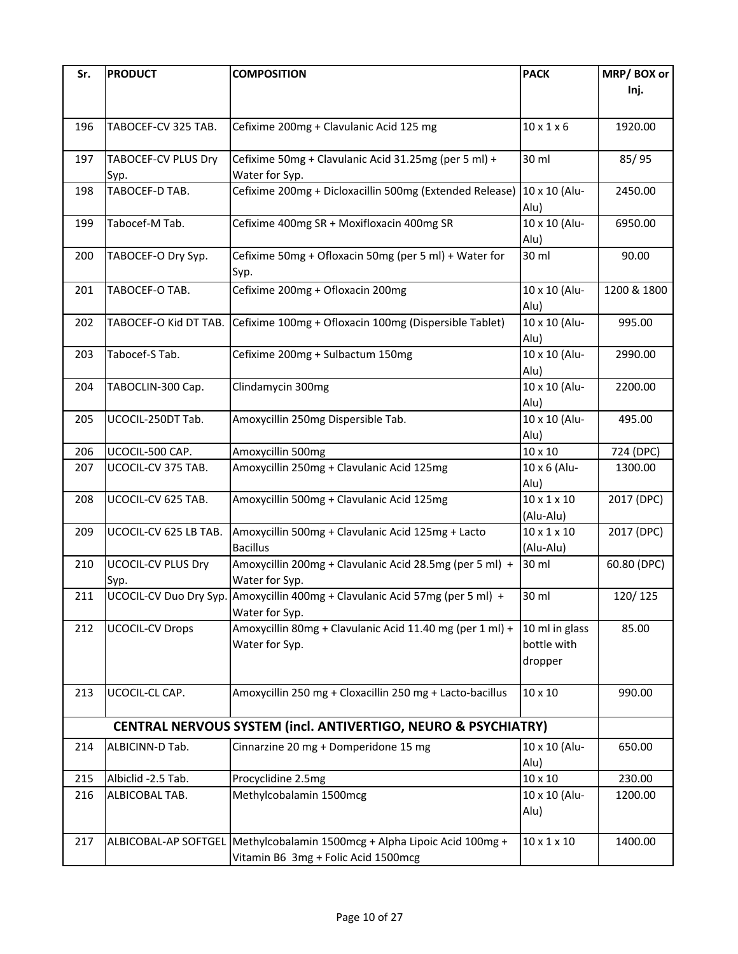| Sr. | <b>PRODUCT</b>                        | <b>COMPOSITION</b>                                                           | <b>PACK</b>             | MRP/BOX or  |
|-----|---------------------------------------|------------------------------------------------------------------------------|-------------------------|-------------|
|     |                                       |                                                                              |                         | Inj.        |
|     |                                       |                                                                              |                         |             |
| 196 | TABOCEF-CV 325 TAB.                   | Cefixime 200mg + Clavulanic Acid 125 mg                                      | $10 \times 1 \times 6$  | 1920.00     |
|     |                                       |                                                                              |                         |             |
| 197 | TABOCEF-CV PLUS Dry                   | Cefixime 50mg + Clavulanic Acid 31.25mg (per 5 ml) +                         | 30 ml                   | 85/95       |
|     | Syp.                                  | Water for Syp.                                                               |                         |             |
| 198 | TABOCEF-D TAB.                        | Cefixime 200mg + Dicloxacillin 500mg (Extended Release) 10 x 10 (Alu-        |                         | 2450.00     |
|     |                                       |                                                                              | Alu)                    |             |
| 199 | Tabocef-M Tab.                        | Cefixime 400mg SR + Moxifloxacin 400mg SR                                    | 10 x 10 (Alu-           | 6950.00     |
|     |                                       |                                                                              | Alu)                    |             |
| 200 | TABOCEF-O Dry Syp.                    | Cefixime 50mg + Ofloxacin 50mg (per 5 ml) + Water for                        | 30 ml                   | 90.00       |
|     |                                       | Syp.                                                                         |                         |             |
| 201 | TABOCEF-O TAB.                        | Cefixime 200mg + Ofloxacin 200mg                                             | 10 x 10 (Alu-           | 1200 & 1800 |
|     |                                       |                                                                              | Alu)                    |             |
| 202 | TABOCEF-O Kid DT TAB.                 | Cefixime 100mg + Ofloxacin 100mg (Dispersible Tablet)                        | 10 x 10 (Alu-           | 995.00      |
|     |                                       |                                                                              | Alu)                    |             |
| 203 | Tabocef-S Tab.                        | Cefixime 200mg + Sulbactum 150mg                                             | 10 x 10 (Alu-           | 2990.00     |
|     |                                       |                                                                              | Alu)                    |             |
| 204 | TABOCLIN-300 Cap.                     | Clindamycin 300mg                                                            | 10 x 10 (Alu-           | 2200.00     |
|     |                                       |                                                                              | Alu)                    |             |
| 205 | UCOCIL-250DT Tab.                     | Amoxycillin 250mg Dispersible Tab.                                           | 10 x 10 (Alu-           | 495.00      |
|     |                                       |                                                                              | Alu)                    |             |
| 206 | UCOCIL-500 CAP.<br>UCOCIL-CV 375 TAB. | Amoxycillin 500mg                                                            | 10 x 10                 | 724 (DPC)   |
| 207 |                                       | Amoxycillin 250mg + Clavulanic Acid 125mg                                    | 10 x 6 (Alu-<br>Alu)    | 1300.00     |
| 208 | UCOCIL-CV 625 TAB.                    | Amoxycillin 500mg + Clavulanic Acid 125mg                                    | $10 \times 1 \times 10$ | 2017 (DPC)  |
|     |                                       |                                                                              | (Alu-Alu)               |             |
| 209 | UCOCIL-CV 625 LB TAB.                 | Amoxycillin 500mg + Clavulanic Acid 125mg + Lacto                            | $10 \times 1 \times 10$ | 2017 (DPC)  |
|     |                                       | <b>Bacillus</b>                                                              | (Alu-Alu)               |             |
| 210 | <b>UCOCIL-CV PLUS Dry</b>             | Amoxycillin 200mg + Clavulanic Acid 28.5mg (per 5 ml) +                      | 30 ml                   | 60.80 (DPC) |
|     | Syp.                                  | Water for Syp.                                                               |                         |             |
| 211 |                                       | UCOCIL-CV Duo Dry Syp. Amoxycillin 400mg + Clavulanic Acid 57mg (per 5 ml) + | 30 ml                   | 120/125     |
|     |                                       | Water for Syp.                                                               |                         |             |
| 212 | <b>UCOCIL-CV Drops</b>                | Amoxycillin 80mg + Clavulanic Acid 11.40 mg (per 1 ml) +                     | 10 ml in glass          | 85.00       |
|     |                                       | Water for Syp.                                                               | bottle with             |             |
|     |                                       |                                                                              | dropper                 |             |
|     |                                       |                                                                              |                         |             |
| 213 | UCOCIL-CL CAP.                        | Amoxycillin 250 mg + Cloxacillin 250 mg + Lacto-bacillus                     | 10 x 10                 | 990.00      |
|     |                                       |                                                                              |                         |             |
|     |                                       | CENTRAL NERVOUS SYSTEM (incl. ANTIVERTIGO, NEURO & PSYCHIATRY)               |                         |             |
| 214 | ALBICINN-D Tab.                       | Cinnarzine 20 mg + Domperidone 15 mg                                         | 10 x 10 (Alu-           | 650.00      |
|     |                                       |                                                                              | Alu)                    |             |
| 215 | Albiclid -2.5 Tab.                    | Procyclidine 2.5mg                                                           | $10 \times 10$          | 230.00      |
| 216 | ALBICOBAL TAB.                        | Methylcobalamin 1500mcg                                                      | 10 x 10 (Alu-           | 1200.00     |
|     |                                       |                                                                              | Alu)                    |             |
|     |                                       |                                                                              | $10 \times 1 \times 10$ |             |
| 217 | ALBICOBAL-AP SOFTGEL                  | Methylcobalamin 1500mcg + Alpha Lipoic Acid 100mg +                          |                         | 1400.00     |
|     |                                       | Vitamin B6 3mg + Folic Acid 1500mcg                                          |                         |             |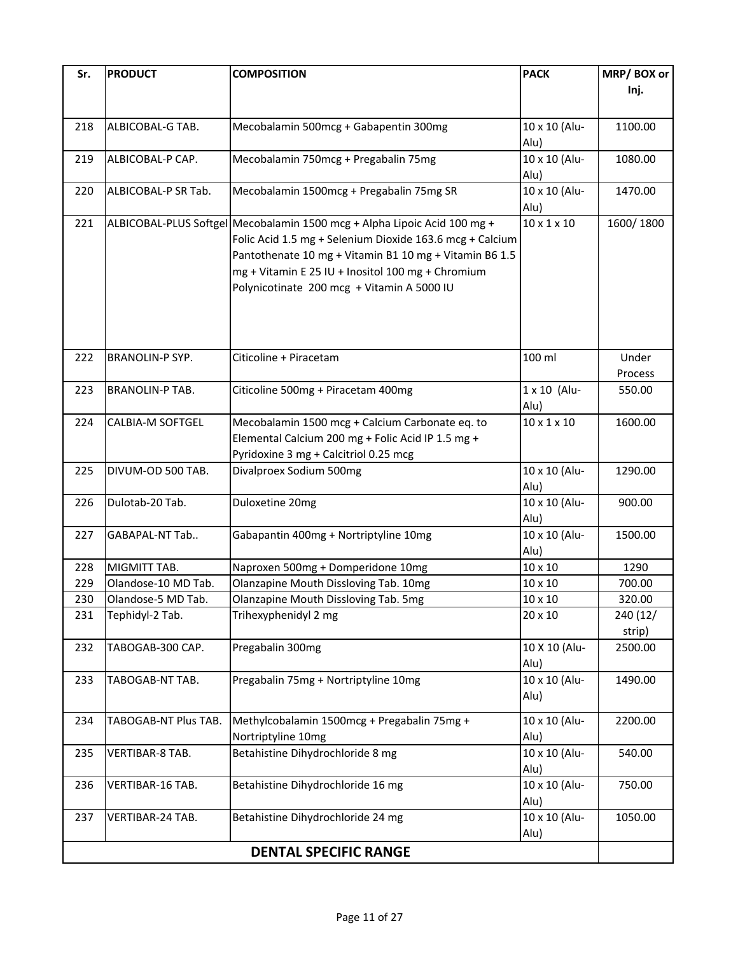| Sr.                          | <b>PRODUCT</b>         | <b>COMPOSITION</b>                                                       | <b>PACK</b>             | MRP/BOX or |
|------------------------------|------------------------|--------------------------------------------------------------------------|-------------------------|------------|
|                              |                        |                                                                          |                         | Inj.       |
|                              |                        |                                                                          |                         |            |
| 218                          | ALBICOBAL-G TAB.       | Mecobalamin 500mcg + Gabapentin 300mg                                    | 10 x 10 (Alu-           | 1100.00    |
|                              |                        |                                                                          | Alu)                    |            |
| 219                          | ALBICOBAL-P CAP.       | Mecobalamin 750mcg + Pregabalin 75mg                                     | 10 x 10 (Alu-           | 1080.00    |
|                              |                        |                                                                          | Alu)                    |            |
| 220                          | ALBICOBAL-P SR Tab.    | Mecobalamin 1500mcg + Pregabalin 75mg SR                                 | 10 x 10 (Alu-           | 1470.00    |
|                              |                        |                                                                          | Alu)                    |            |
| 221                          |                        | ALBICOBAL-PLUS Softgel Mecobalamin 1500 mcg + Alpha Lipoic Acid 100 mg + | $10 \times 1 \times 10$ | 1600/1800  |
|                              |                        | Folic Acid 1.5 mg + Selenium Dioxide 163.6 mcg + Calcium                 |                         |            |
|                              |                        | Pantothenate 10 mg + Vitamin B1 10 mg + Vitamin B6 1.5                   |                         |            |
|                              |                        | mg + Vitamin E 25 IU + Inositol 100 mg + Chromium                        |                         |            |
|                              |                        | Polynicotinate 200 mcg + Vitamin A 5000 IU                               |                         |            |
|                              |                        |                                                                          |                         |            |
|                              |                        |                                                                          |                         |            |
|                              |                        |                                                                          |                         |            |
|                              |                        |                                                                          |                         |            |
| 222                          | <b>BRANOLIN-P SYP.</b> | Citicoline + Piracetam                                                   | 100 ml                  | Under      |
|                              |                        |                                                                          |                         | Process    |
| 223                          | <b>BRANOLIN-P TAB.</b> | Citicoline 500mg + Piracetam 400mg                                       | 1 x 10 (Alu-            | 550.00     |
|                              |                        |                                                                          | Alu)                    |            |
| 224                          | CALBIA-M SOFTGEL       | Mecobalamin 1500 mcg + Calcium Carbonate eq. to                          | $10 \times 1 \times 10$ | 1600.00    |
|                              |                        | Elemental Calcium 200 mg + Folic Acid IP 1.5 mg +                        |                         |            |
|                              |                        | Pyridoxine 3 mg + Calcitriol 0.25 mcg                                    |                         |            |
| 225                          | DIVUM-OD 500 TAB.      | Divalproex Sodium 500mg                                                  | 10 x 10 (Alu-           | 1290.00    |
|                              |                        |                                                                          | Alu)                    |            |
| 226                          | Dulotab-20 Tab.        | Duloxetine 20mg                                                          | 10 x 10 (Alu-           | 900.00     |
|                              |                        |                                                                          | Alu)                    |            |
| 227                          | GABAPAL-NT Tab         | Gabapantin 400mg + Nortriptyline 10mg                                    | 10 x 10 (Alu-           | 1500.00    |
|                              |                        |                                                                          | Alu)                    |            |
| 228                          | MIGMITT TAB.           | Naproxen 500mg + Domperidone 10mg                                        | 10 x 10                 | 1290       |
| 229                          | Olandose-10 MD Tab.    | Olanzapine Mouth Dissloving Tab. 10mg                                    | 10 x 10                 | 700.00     |
| 230                          | Olandose-5 MD Tab.     | Olanzapine Mouth Dissloving Tab. 5mg                                     | 10 x 10                 | 320.00     |
| 231                          | Tephidyl-2 Tab.        | Trihexyphenidyl 2 mg                                                     | 20 x 10                 | 240 (12/   |
|                              |                        |                                                                          |                         | strip)     |
| 232                          | TABOGAB-300 CAP.       | Pregabalin 300mg                                                         | 10 X 10 (Alu-           | 2500.00    |
|                              |                        |                                                                          | Alu)                    |            |
| 233                          | TABOGAB-NT TAB.        | Pregabalin 75mg + Nortriptyline 10mg                                     | 10 x 10 (Alu-           | 1490.00    |
|                              |                        |                                                                          | Alu)                    |            |
| 234                          | TABOGAB-NT Plus TAB.   | Methylcobalamin 1500mcg + Pregabalin 75mg +                              | 10 x 10 (Alu-           | 2200.00    |
|                              |                        |                                                                          |                         |            |
|                              |                        | Nortriptyline 10mg                                                       | Alu)                    |            |
| 235                          | VERTIBAR-8 TAB.        | Betahistine Dihydrochloride 8 mg                                         | 10 x 10 (Alu-           | 540.00     |
|                              |                        |                                                                          | Alu)                    |            |
| 236                          | VERTIBAR-16 TAB.       | Betahistine Dihydrochloride 16 mg                                        | 10 x 10 (Alu-           | 750.00     |
|                              |                        |                                                                          | Alu)                    |            |
| 237                          | VERTIBAR-24 TAB.       | Betahistine Dihydrochloride 24 mg                                        | 10 x 10 (Alu-           | 1050.00    |
|                              |                        |                                                                          | Alu)                    |            |
| <b>DENTAL SPECIFIC RANGE</b> |                        |                                                                          |                         |            |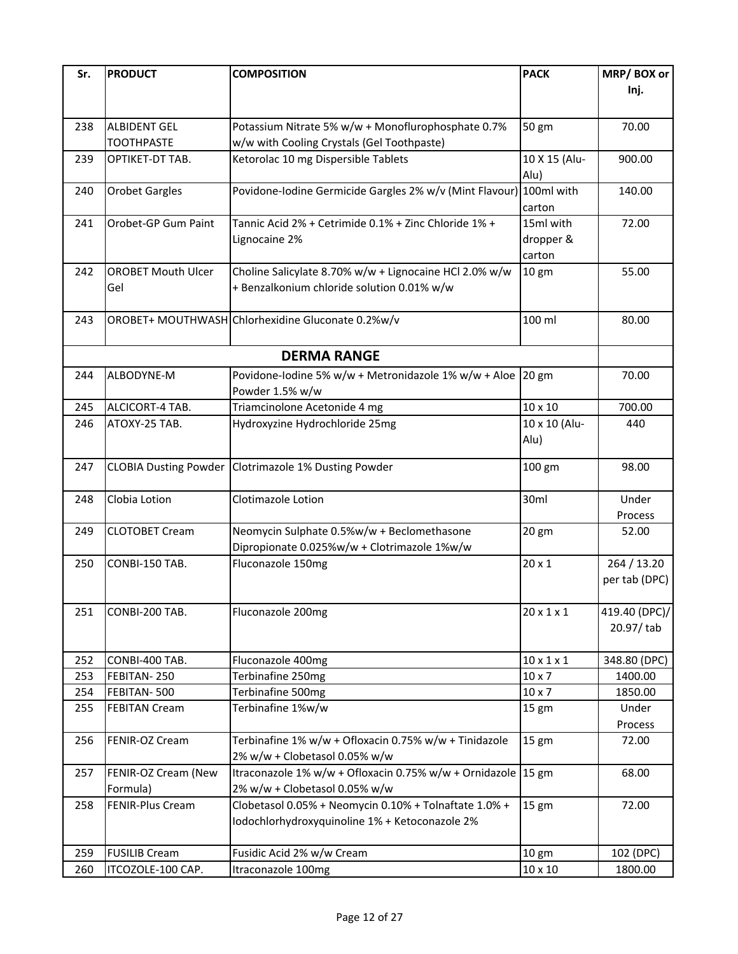| Sr. | <b>PRODUCT</b>               | <b>COMPOSITION</b>                                                 | <b>PACK</b>            | MRP/BOX or                   |
|-----|------------------------------|--------------------------------------------------------------------|------------------------|------------------------------|
|     |                              |                                                                    |                        | Inj.                         |
|     |                              |                                                                    |                        |                              |
| 238 | <b>ALBIDENT GEL</b>          | Potassium Nitrate 5% w/w + Monoflurophosphate 0.7%                 | 50 gm                  | 70.00                        |
|     | <b>TOOTHPASTE</b>            | w/w with Cooling Crystals (Gel Toothpaste)                         |                        |                              |
| 239 | OPTIKET-DT TAB.              | Ketorolac 10 mg Dispersible Tablets                                | 10 X 15 (Alu-          | 900.00                       |
|     |                              |                                                                    | Alu)                   |                              |
| 240 | <b>Orobet Gargles</b>        | Povidone-Iodine Germicide Gargles 2% w/v (Mint Flavour) 100ml with |                        | 140.00                       |
|     |                              |                                                                    | carton                 |                              |
| 241 | Orobet-GP Gum Paint          | Tannic Acid 2% + Cetrimide 0.1% + Zinc Chloride 1% +               | 15ml with              | 72.00                        |
|     |                              | Lignocaine 2%                                                      | dropper &              |                              |
|     |                              |                                                                    | carton                 |                              |
| 242 | <b>OROBET Mouth Ulcer</b>    | Choline Salicylate 8.70% w/w + Lignocaine HCl 2.0% w/w             | 10 <sub>gm</sub>       | 55.00                        |
|     | Gel                          | + Benzalkonium chloride solution 0.01% w/w                         |                        |                              |
|     |                              |                                                                    |                        |                              |
| 243 |                              | OROBET+ MOUTHWASH Chlorhexidine Gluconate 0.2%w/v                  | 100 ml                 | 80.00                        |
|     |                              |                                                                    |                        |                              |
|     |                              | <b>DERMA RANGE</b>                                                 |                        |                              |
| 244 | ALBODYNE-M                   | Povidone-Iodine 5% w/w + Metronidazole 1% w/w + Aloe 20 gm         |                        | 70.00                        |
|     |                              | Powder 1.5% w/w                                                    |                        |                              |
| 245 | ALCICORT-4 TAB.              | Triamcinolone Acetonide 4 mg                                       | 10 x 10                | 700.00                       |
| 246 | ATOXY-25 TAB.                | Hydroxyzine Hydrochloride 25mg                                     | 10 x 10 (Alu-          | 440                          |
|     |                              |                                                                    | Alu)                   |                              |
|     |                              |                                                                    |                        |                              |
| 247 | <b>CLOBIA Dusting Powder</b> | Clotrimazole 1% Dusting Powder                                     | 100 gm                 | 98.00                        |
|     |                              |                                                                    |                        |                              |
| 248 | Clobia Lotion                | Clotimazole Lotion                                                 | 30ml                   | Under                        |
|     |                              |                                                                    |                        | Process                      |
| 249 | <b>CLOTOBET Cream</b>        | Neomycin Sulphate 0.5%w/w + Beclomethasone                         | 20 gm                  | 52.00                        |
|     |                              | Dipropionate 0.025%w/w + Clotrimazole 1%w/w                        |                        |                              |
| 250 | CONBI-150 TAB.               | Fluconazole 150mg                                                  | $20 \times 1$          | 264 / 13.20<br>per tab (DPC) |
|     |                              |                                                                    |                        |                              |
| 251 | CONBI-200 TAB.               | Fluconazole 200mg                                                  | $20 \times 1 \times 1$ | 419.40 (DPC)/                |
|     |                              |                                                                    |                        | 20.97/tab                    |
|     |                              |                                                                    |                        |                              |
| 252 | CONBI-400 TAB.               | Fluconazole 400mg                                                  | $10 \times 1 \times 1$ | 348.80 (DPC)                 |
| 253 | FEBITAN-250                  | Terbinafine 250mg                                                  | $10 \times 7$          | 1400.00                      |
| 254 | FEBITAN-500                  | Terbinafine 500mg                                                  | $10 \times 7$          | 1850.00                      |
| 255 | <b>FEBITAN Cream</b>         | Terbinafine 1%w/w                                                  | 15 gm                  | Under                        |
|     |                              |                                                                    |                        | Process                      |
| 256 | FENIR-OZ Cream               | Terbinafine 1% w/w + Ofloxacin 0.75% w/w + Tinidazole              | 15 gm                  | 72.00                        |
|     |                              | 2% w/w + Clobetasol 0.05% w/w                                      |                        |                              |
| 257 | FENIR-OZ Cream (New          | Itraconazole 1% w/w + Ofloxacin 0.75% w/w + Ornidazole 15 gm       |                        | 68.00                        |
|     | Formula)                     | 2% w/w + Clobetasol 0.05% w/w                                      |                        |                              |
| 258 | FENIR-Plus Cream             | Clobetasol 0.05% + Neomycin 0.10% + Tolnaftate 1.0% +              | 15 <sub>gm</sub>       | 72.00                        |
|     |                              | Iodochlorhydroxyquinoline 1% + Ketoconazole 2%                     |                        |                              |
|     |                              |                                                                    |                        |                              |
| 259 | <b>FUSILIB Cream</b>         | Fusidic Acid 2% w/w Cream                                          | 10 gm                  | 102 (DPC)                    |
| 260 | ITCOZOLE-100 CAP.            | Itraconazole 100mg                                                 | 10 x 10                | 1800.00                      |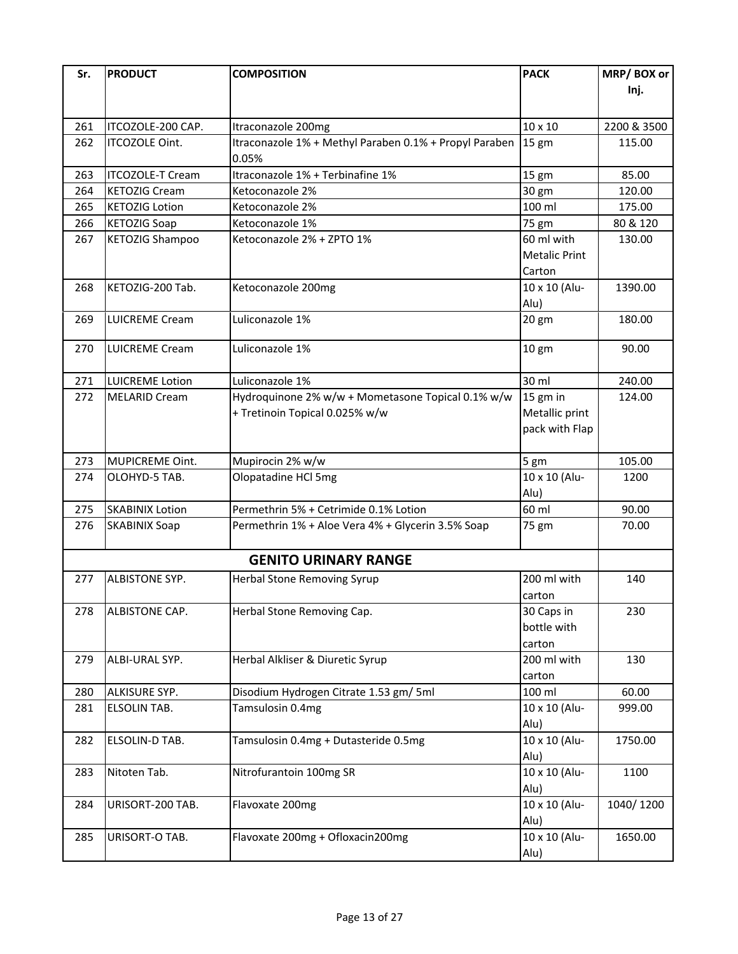| Sr. | <b>PRODUCT</b>          | <b>COMPOSITION</b>                                     | <b>PACK</b>          | MRP/BOX or  |
|-----|-------------------------|--------------------------------------------------------|----------------------|-------------|
|     |                         |                                                        |                      | Inj.        |
|     |                         |                                                        |                      |             |
| 261 | ITCOZOLE-200 CAP.       | Itraconazole 200mg                                     | 10 x 10              | 2200 & 3500 |
| 262 | ITCOZOLE Oint.          | Itraconazole 1% + Methyl Paraben 0.1% + Propyl Paraben | $15 \text{ gm}$      | 115.00      |
|     |                         | 0.05%                                                  |                      |             |
| 263 | <b>ITCOZOLE-T Cream</b> | Itraconazole 1% + Terbinafine 1%                       | 15 gm                | 85.00       |
| 264 | <b>KETOZIG Cream</b>    | Ketoconazole 2%                                        | 30 gm                | 120.00      |
| 265 | <b>KETOZIG Lotion</b>   | Ketoconazole 2%                                        | 100 ml               | 175.00      |
| 266 | <b>KETOZIG Soap</b>     | Ketoconazole 1%                                        | 75 gm                | 80 & 120    |
| 267 | <b>KETOZIG Shampoo</b>  | Ketoconazole 2% + ZPTO 1%                              | 60 ml with           | 130.00      |
|     |                         |                                                        | <b>Metalic Print</b> |             |
|     |                         |                                                        | Carton               |             |
| 268 | KETOZIG-200 Tab.        | Ketoconazole 200mg                                     | 10 x 10 (Alu-        | 1390.00     |
|     |                         |                                                        | Alu)                 |             |
| 269 | <b>LUICREME Cream</b>   | Luliconazole 1%                                        | $20$ gm              | 180.00      |
| 270 | <b>LUICREME Cream</b>   | Luliconazole 1%                                        | 10 gm                | 90.00       |
|     |                         |                                                        |                      |             |
| 271 | <b>LUICREME Lotion</b>  | Luliconazole 1%                                        | 30 ml                | 240.00      |
| 272 | <b>MELARID Cream</b>    | Hydroquinone 2% w/w + Mometasone Topical 0.1% w/w      | 15 gm in             | 124.00      |
|     |                         | + Tretinoin Topical 0.025% w/w                         | Metallic print       |             |
|     |                         |                                                        | pack with Flap       |             |
|     |                         |                                                        |                      |             |
| 273 | MUPICREME Oint.         | Mupirocin 2% w/w                                       | 5 gm                 | 105.00      |
| 274 | OLOHYD-5 TAB.           | Olopatadine HCl 5mg                                    | 10 x 10 (Alu-        | 1200        |
|     |                         |                                                        | Alu)                 |             |
| 275 | <b>SKABINIX Lotion</b>  | Permethrin 5% + Cetrimide 0.1% Lotion                  | 60 ml                | 90.00       |
| 276 | <b>SKABINIX Soap</b>    | Permethrin 1% + Aloe Vera 4% + Glycerin 3.5% Soap      | 75 gm                | 70.00       |
|     |                         | <b>GENITO URINARY RANGE</b>                            |                      |             |
| 277 | <b>ALBISTONE SYP.</b>   | Herbal Stone Removing Syrup                            | 200 ml with          | 140         |
|     |                         |                                                        | carton               |             |
| 278 | <b>ALBISTONE CAP.</b>   | Herbal Stone Removing Cap.                             | 30 Caps in           | 230         |
|     |                         |                                                        | bottle with          |             |
|     |                         |                                                        | carton               |             |
| 279 | ALBI-URAL SYP.          | Herbal Alkliser & Diuretic Syrup                       | 200 ml with          | 130         |
|     |                         |                                                        | carton               |             |
| 280 | ALKISURE SYP.           | Disodium Hydrogen Citrate 1.53 gm/ 5ml                 | 100 ml               | 60.00       |
| 281 | ELSOLIN TAB.            | Tamsulosin 0.4mg                                       | 10 x 10 (Alu-        | 999.00      |
|     |                         |                                                        | Alu)                 |             |
| 282 | ELSOLIN-D TAB.          | Tamsulosin 0.4mg + Dutasteride 0.5mg                   | 10 x 10 (Alu-        | 1750.00     |
|     |                         |                                                        | Alu)                 |             |
| 283 | Nitoten Tab.            | Nitrofurantoin 100mg SR                                | 10 x 10 (Alu-        | 1100        |
|     |                         |                                                        | Alu)                 |             |
| 284 | URISORT-200 TAB.        | Flavoxate 200mg                                        | 10 x 10 (Alu-        | 1040/1200   |
|     |                         |                                                        | Alu)                 |             |
| 285 | URISORT-O TAB.          | Flavoxate 200mg + Ofloxacin200mg                       | 10 x 10 (Alu-        | 1650.00     |
|     |                         |                                                        | Alu)                 |             |
|     |                         |                                                        |                      |             |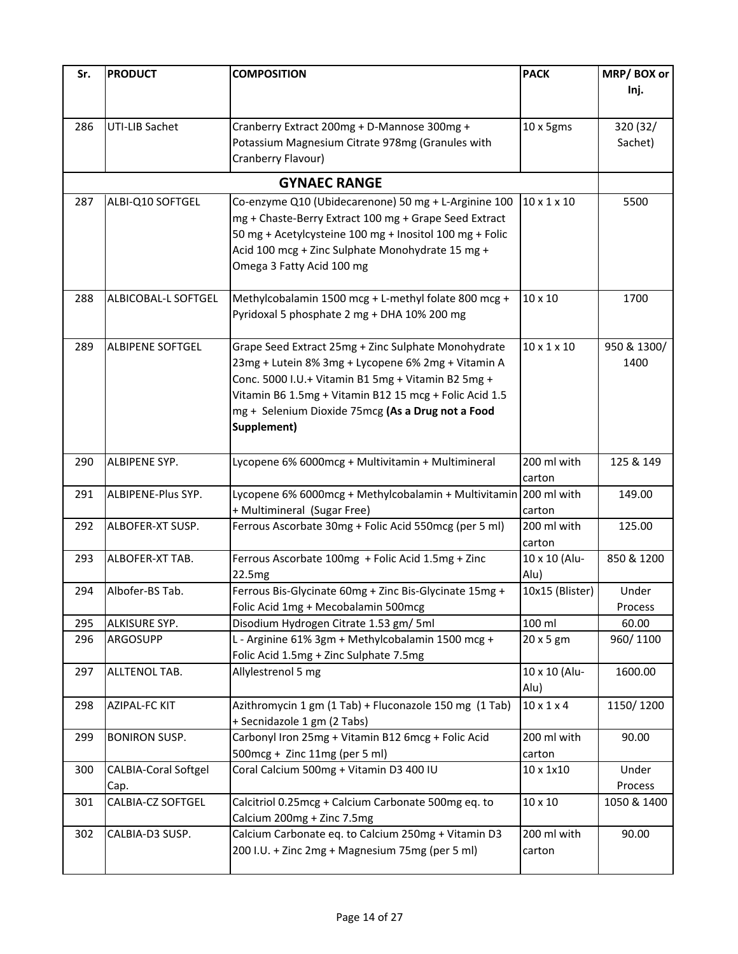| Sr. | <b>PRODUCT</b>                   | <b>COMPOSITION</b>                                                                          | <b>PACK</b>             | MRP/BOX or  |
|-----|----------------------------------|---------------------------------------------------------------------------------------------|-------------------------|-------------|
|     |                                  |                                                                                             |                         | Inj.        |
|     |                                  |                                                                                             |                         |             |
| 286 | <b>UTI-LIB Sachet</b>            | Cranberry Extract 200mg + D-Mannose 300mg +                                                 | 10 x 5gms               | 320 (32/    |
|     |                                  | Potassium Magnesium Citrate 978mg (Granules with                                            |                         | Sachet)     |
|     |                                  | Cranberry Flavour)                                                                          |                         |             |
|     |                                  |                                                                                             |                         |             |
|     |                                  | <b>GYNAEC RANGE</b>                                                                         |                         |             |
| 287 | ALBI-Q10 SOFTGEL                 | Co-enzyme Q10 (Ubidecarenone) 50 mg + L-Arginine 100                                        | $10 \times 1 \times 10$ | 5500        |
|     |                                  | mg + Chaste-Berry Extract 100 mg + Grape Seed Extract                                       |                         |             |
|     |                                  | 50 mg + Acetylcysteine 100 mg + Inositol 100 mg + Folic                                     |                         |             |
|     |                                  | Acid 100 mcg + Zinc Sulphate Monohydrate 15 mg +                                            |                         |             |
|     |                                  | Omega 3 Fatty Acid 100 mg                                                                   |                         |             |
| 288 | ALBICOBAL-L SOFTGEL              | Methylcobalamin 1500 mcg + L-methyl folate 800 mcg +                                        | 10 x 10                 | 1700        |
|     |                                  | Pyridoxal 5 phosphate 2 mg + DHA 10% 200 mg                                                 |                         |             |
|     |                                  |                                                                                             |                         |             |
| 289 | <b>ALBIPENE SOFTGEL</b>          | Grape Seed Extract 25mg + Zinc Sulphate Monohydrate                                         | $10 \times 1 \times 10$ | 950 & 1300/ |
|     |                                  | 23mg + Lutein 8% 3mg + Lycopene 6% 2mg + Vitamin A                                          |                         | 1400        |
|     |                                  | Conc. 5000 I.U.+ Vitamin B1 5mg + Vitamin B2 5mg +                                          |                         |             |
|     |                                  | Vitamin B6 1.5mg + Vitamin B12 15 mcg + Folic Acid 1.5                                      |                         |             |
|     |                                  | mg + Selenium Dioxide 75mcg (As a Drug not a Food                                           |                         |             |
|     |                                  | Supplement)                                                                                 |                         |             |
|     |                                  |                                                                                             |                         |             |
| 290 | ALBIPENE SYP.                    | Lycopene 6% 6000mcg + Multivitamin + Multimineral                                           | 200 ml with             | 125 & 149   |
|     |                                  |                                                                                             | carton                  |             |
| 291 | ALBIPENE-Plus SYP.               | Lycopene 6% 6000mcg + Methylcobalamin + Multivitamin 200 ml with                            |                         | 149.00      |
|     |                                  | + Multimineral (Sugar Free)                                                                 | carton                  |             |
| 292 | ALBOFER-XT SUSP.                 | Ferrous Ascorbate 30mg + Folic Acid 550mcg (per 5 ml)                                       | 200 ml with             | 125.00      |
|     |                                  |                                                                                             | carton                  |             |
| 293 | ALBOFER-XT TAB.                  | Ferrous Ascorbate 100mg + Folic Acid 1.5mg + Zinc                                           | 10 x 10 (Alu-           | 850 & 1200  |
|     |                                  | 22.5mg                                                                                      | Alu)                    |             |
| 294 | Albofer-BS Tab.                  | Ferrous Bis-Glycinate 60mg + Zinc Bis-Glycinate 15mg +                                      | 10x15 (Blister)         | Under       |
|     |                                  | Folic Acid 1mg + Mecobalamin 500mcg                                                         |                         | Process     |
| 295 | ALKISURE SYP.<br><b>ARGOSUPP</b> | Disodium Hydrogen Citrate 1.53 gm/ 5ml                                                      | 100 ml                  | 60.00       |
| 296 |                                  | L - Arginine 61% 3gm + Methylcobalamin 1500 mcg +<br>Folic Acid 1.5mg + Zinc Sulphate 7.5mg | 20 x 5 gm               | 960/1100    |
| 297 | ALLTENOL TAB.                    | Allylestrenol 5 mg                                                                          | 10 x 10 (Alu-           | 1600.00     |
|     |                                  |                                                                                             | Alu)                    |             |
| 298 | <b>AZIPAL-FC KIT</b>             | Azithromycin 1 gm (1 Tab) + Fluconazole 150 mg (1 Tab)                                      | $10 \times 1 \times 4$  | 1150/1200   |
|     |                                  | + Secnidazole 1 gm (2 Tabs)                                                                 |                         |             |
| 299 | <b>BONIRON SUSP.</b>             | Carbonyl Iron 25mg + Vitamin B12 6mcg + Folic Acid                                          | 200 ml with             | 90.00       |
|     |                                  | 500mcg + Zinc 11mg (per 5 ml)                                                               | carton                  |             |
| 300 | <b>CALBIA-Coral Softgel</b>      | Coral Calcium 500mg + Vitamin D3 400 IU                                                     | 10 x 1x10               | Under       |
|     | Cap.                             |                                                                                             |                         | Process     |
| 301 | CALBIA-CZ SOFTGEL                | Calcitriol 0.25mcg + Calcium Carbonate 500mg eq. to                                         | 10 x 10                 | 1050 & 1400 |
|     |                                  | Calcium 200mg + Zinc 7.5mg                                                                  |                         |             |
| 302 | CALBIA-D3 SUSP.                  | Calcium Carbonate eq. to Calcium 250mg + Vitamin D3                                         | 200 ml with             | 90.00       |
|     |                                  | 200 I.U. + Zinc 2mg + Magnesium 75mg (per 5 ml)                                             | carton                  |             |
|     |                                  |                                                                                             |                         |             |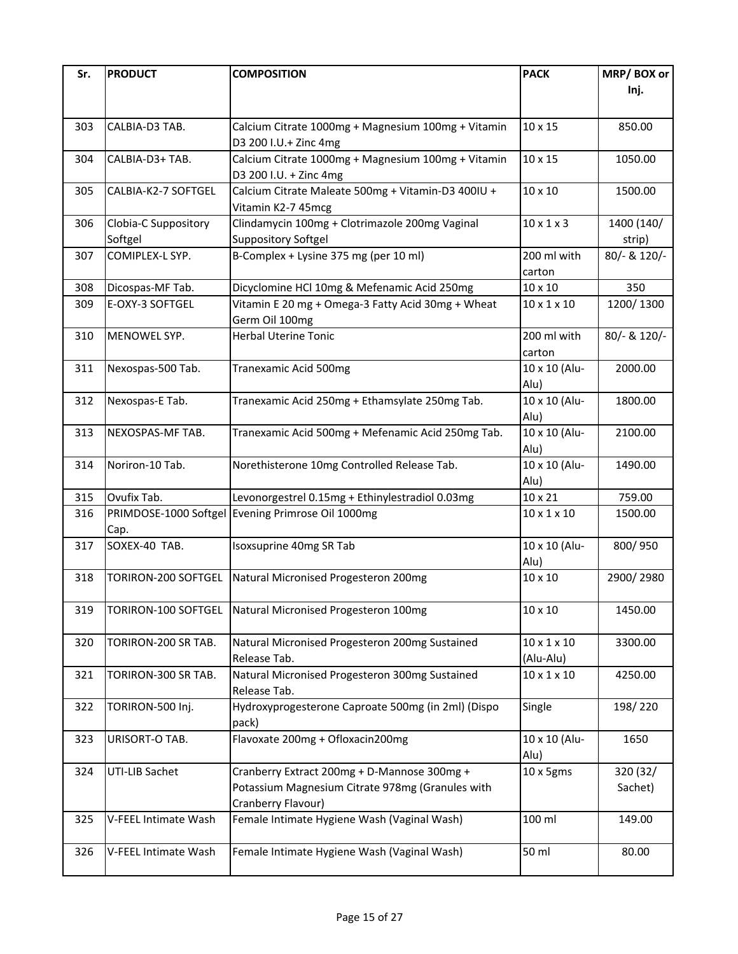| Sr. | <b>PRODUCT</b>        | <b>COMPOSITION</b>                                             | <b>PACK</b>                          | MRP/BOX or   |
|-----|-----------------------|----------------------------------------------------------------|--------------------------------------|--------------|
|     |                       |                                                                |                                      | Inj.         |
|     |                       |                                                                |                                      |              |
| 303 | CALBIA-D3 TAB.        | Calcium Citrate 1000mg + Magnesium 100mg + Vitamin             | 10 x 15                              | 850.00       |
|     |                       | D3 200 I.U.+ Zinc 4mg                                          |                                      |              |
| 304 | CALBIA-D3+ TAB.       | Calcium Citrate 1000mg + Magnesium 100mg + Vitamin             | 10 x 15                              | 1050.00      |
|     |                       | D3 200 I.U. + Zinc 4mg                                         |                                      |              |
| 305 | CALBIA-K2-7 SOFTGEL   | Calcium Citrate Maleate 500mg + Vitamin-D3 400IU +             | 10 x 10                              | 1500.00      |
|     |                       | Vitamin K2-7 45mcg                                             |                                      |              |
| 306 | Clobia-C Suppository  | Clindamycin 100mg + Clotrimazole 200mg Vaginal                 | $10 \times 1 \times 3$               | 1400 (140/   |
|     | Softgel               | <b>Suppository Softgel</b>                                     |                                      | strip)       |
| 307 | COMIPLEX-L SYP.       | B-Complex + Lysine 375 mg (per 10 ml)                          | 200 ml with                          | 80/- & 120/- |
|     |                       |                                                                | carton                               |              |
| 308 | Dicospas-MF Tab.      | Dicyclomine HCl 10mg & Mefenamic Acid 250mg                    | 10 x 10                              | 350          |
| 309 | E-OXY-3 SOFTGEL       | Vitamin E 20 mg + Omega-3 Fatty Acid 30mg + Wheat              | $10 \times 1 \times 10$              | 1200/1300    |
|     |                       | Germ Oil 100mg                                                 |                                      |              |
| 310 | MENOWEL SYP.          | <b>Herbal Uterine Tonic</b>                                    | 200 ml with                          | 80/- & 120/- |
|     |                       |                                                                | carton                               |              |
| 311 | Nexospas-500 Tab.     | Tranexamic Acid 500mg                                          | 10 x 10 (Alu-                        | 2000.00      |
|     |                       |                                                                | Alu)                                 |              |
| 312 | Nexospas-E Tab.       | Tranexamic Acid 250mg + Ethamsylate 250mg Tab.                 | 10 x 10 (Alu-                        | 1800.00      |
|     |                       |                                                                | Alu)                                 |              |
| 313 | NEXOSPAS-MF TAB.      | Tranexamic Acid 500mg + Mefenamic Acid 250mg Tab.              | 10 x 10 (Alu-                        | 2100.00      |
|     |                       |                                                                | Alu)                                 |              |
| 314 | Noriron-10 Tab.       | Norethisterone 10mg Controlled Release Tab.                    | 10 x 10 (Alu-                        | 1490.00      |
|     |                       |                                                                | Alu)                                 |              |
| 315 | Ovufix Tab.           | Levonorgestrel 0.15mg + Ethinylestradiol 0.03mg                | 10 x 21                              | 759.00       |
| 316 | PRIMDOSE-1000 Softgel | Evening Primrose Oil 1000mg                                    | $10 \times 1 \times 10$              | 1500.00      |
|     | Cap.                  |                                                                |                                      |              |
| 317 | SOXEX-40 TAB.         | Isoxsuprine 40mg SR Tab                                        | 10 x 10 (Alu-                        | 800/950      |
|     |                       |                                                                | Alu)                                 |              |
| 318 | TORIRON-200 SOFTGEL   | Natural Micronised Progesteron 200mg                           | 10 x 10                              | 2900/2980    |
|     |                       |                                                                |                                      |              |
| 319 | TORIRON-100 SOFTGEL   | Natural Micronised Progesteron 100mg                           | 10 x 10                              | 1450.00      |
|     |                       |                                                                |                                      |              |
| 320 | TORIRON-200 SR TAB.   | Natural Micronised Progesteron 200mg Sustained                 | $10 \times 1 \times 10$              | 3300.00      |
| 321 | TORIRON-300 SR TAB.   | Release Tab.<br>Natural Micronised Progesteron 300mg Sustained | (Alu-Alu)<br>$10 \times 1 \times 10$ | 4250.00      |
|     |                       | Release Tab.                                                   |                                      |              |
| 322 | TORIRON-500 Inj.      | Hydroxyprogesterone Caproate 500mg (in 2ml) (Dispo             | Single                               | 198/220      |
|     |                       | pack)                                                          |                                      |              |
| 323 | URISORT-O TAB.        | Flavoxate 200mg + Ofloxacin200mg                               | 10 x 10 (Alu-                        | 1650         |
|     |                       |                                                                | Alu)                                 |              |
| 324 | UTI-LIB Sachet        | Cranberry Extract 200mg + D-Mannose 300mg +                    | $10 \times 5$ gms                    | 320 (32/     |
|     |                       | Potassium Magnesium Citrate 978mg (Granules with               |                                      | Sachet)      |
|     |                       | Cranberry Flavour)                                             |                                      |              |
| 325 | V-FEEL Intimate Wash  | Female Intimate Hygiene Wash (Vaginal Wash)                    | 100 ml                               | 149.00       |
|     |                       |                                                                |                                      |              |
| 326 | V-FEEL Intimate Wash  | Female Intimate Hygiene Wash (Vaginal Wash)                    | 50 ml                                | 80.00        |
|     |                       |                                                                |                                      |              |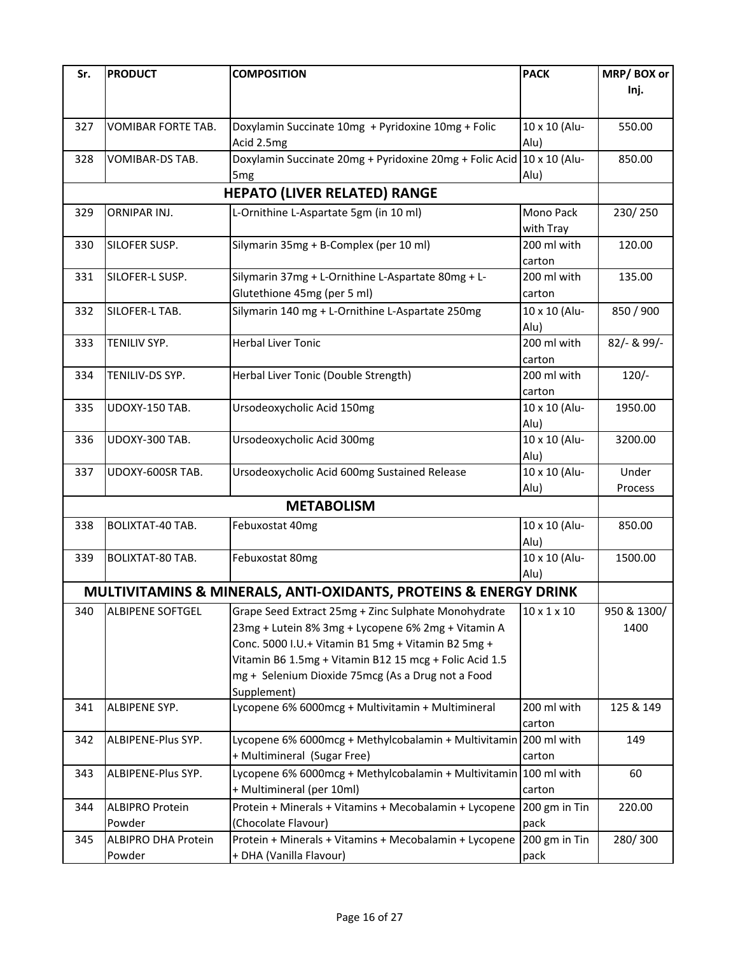| Sr. | <b>PRODUCT</b>             | <b>COMPOSITION</b>                                               | <b>PACK</b>             | MRP/BOX or  |
|-----|----------------------------|------------------------------------------------------------------|-------------------------|-------------|
|     |                            |                                                                  |                         | Inj.        |
|     |                            |                                                                  |                         |             |
| 327 | VOMIBAR FORTE TAB.         | Doxylamin Succinate 10mg + Pyridoxine 10mg + Folic               | 10 x 10 (Alu-           | 550.00      |
|     |                            | Acid 2.5mg                                                       | Alu)                    |             |
| 328 | VOMIBAR-DS TAB.            | Doxylamin Succinate 20mg + Pyridoxine 20mg + Folic Acid          | 10 x 10 (Alu-           | 850.00      |
|     |                            | 5 <sub>mg</sub>                                                  | Alu)                    |             |
|     |                            |                                                                  |                         |             |
|     |                            | <b>HEPATO (LIVER RELATED) RANGE</b>                              |                         |             |
| 329 | ORNIPAR INJ.               | L-Ornithine L-Aspartate 5gm (in 10 ml)                           | Mono Pack               | 230/250     |
|     |                            |                                                                  | with Tray               |             |
| 330 | SILOFER SUSP.              | Silymarin 35mg + B-Complex (per 10 ml)                           | 200 ml with             | 120.00      |
|     |                            |                                                                  | carton                  |             |
| 331 | SILOFER-L SUSP.            | Silymarin 37mg + L-Ornithine L-Aspartate 80mg + L-               | 200 ml with             | 135.00      |
|     |                            | Glutethione 45mg (per 5 ml)                                      | carton                  |             |
| 332 | SILOFER-L TAB.             | Silymarin 140 mg + L-Ornithine L-Aspartate 250mg                 | 10 x 10 (Alu-           | 850 / 900   |
|     |                            |                                                                  | Alu)                    |             |
| 333 | TENILIV SYP.               | <b>Herbal Liver Tonic</b>                                        | 200 ml with             | 82/- & 99/- |
|     |                            |                                                                  | carton                  |             |
| 334 | TENILIV-DS SYP.            | Herbal Liver Tonic (Double Strength)                             | 200 ml with             | $120/-$     |
|     |                            |                                                                  | carton                  |             |
| 335 | UDOXY-150 TAB.             | Ursodeoxycholic Acid 150mg                                       | 10 x 10 (Alu-           | 1950.00     |
|     |                            |                                                                  | Alu)                    |             |
| 336 | UDOXY-300 TAB.             | Ursodeoxycholic Acid 300mg                                       | 10 x 10 (Alu-           | 3200.00     |
|     |                            |                                                                  | Alu)                    |             |
| 337 | UDOXY-600SR TAB.           | Ursodeoxycholic Acid 600mg Sustained Release                     | 10 x 10 (Alu-           | Under       |
|     |                            |                                                                  | Alu)                    | Process     |
|     |                            | <b>METABOLISM</b>                                                |                         |             |
| 338 | <b>BOLIXTAT-40 TAB.</b>    | Febuxostat 40mg                                                  | 10 x 10 (Alu-           | 850.00      |
|     |                            |                                                                  | Alu)                    |             |
| 339 | <b>BOLIXTAT-80 TAB.</b>    | Febuxostat 80mg                                                  | 10 x 10 (Alu-           | 1500.00     |
|     |                            |                                                                  | Alu)                    |             |
|     |                            | MULTIVITAMINS & MINERALS, ANTI-OXIDANTS, PROTEINS & ENERGY DRINK |                         |             |
| 340 | <b>ALBIPENE SOFTGEL</b>    | Grape Seed Extract 25mg + Zinc Sulphate Monohydrate              | $10 \times 1 \times 10$ | 950 & 1300/ |
|     |                            | 23mg + Lutein 8% 3mg + Lycopene 6% 2mg + Vitamin A               |                         | 1400        |
|     |                            | Conc. 5000 I.U.+ Vitamin B1 5mg + Vitamin B2 5mg +               |                         |             |
|     |                            | Vitamin B6 1.5mg + Vitamin B12 15 mcg + Folic Acid 1.5           |                         |             |
|     |                            | mg + Selenium Dioxide 75mcg (As a Drug not a Food                |                         |             |
|     |                            | Supplement)                                                      |                         |             |
| 341 | ALBIPENE SYP.              | Lycopene 6% 6000mcg + Multivitamin + Multimineral                | 200 ml with             | 125 & 149   |
|     |                            |                                                                  | carton                  |             |
| 342 | ALBIPENE-Plus SYP.         | Lycopene 6% 6000mcg + Methylcobalamin + Multivitamin 200 ml with |                         | 149         |
|     |                            | + Multimineral (Sugar Free)                                      | carton                  |             |
| 343 | ALBIPENE-Plus SYP.         | Lycopene 6% 6000mcg + Methylcobalamin + Multivitamin 100 ml with |                         | 60          |
|     |                            | + Multimineral (per 10ml)                                        | carton                  |             |
| 344 | <b>ALBIPRO Protein</b>     | Protein + Minerals + Vitamins + Mecobalamin + Lycopene           | 200 gm in Tin           | 220.00      |
|     | Powder                     | (Chocolate Flavour)                                              | pack                    |             |
| 345 | <b>ALBIPRO DHA Protein</b> | Protein + Minerals + Vitamins + Mecobalamin + Lycopene           | 200 gm in Tin           | 280/300     |
|     | Powder                     | + DHA (Vanilla Flavour)                                          | pack                    |             |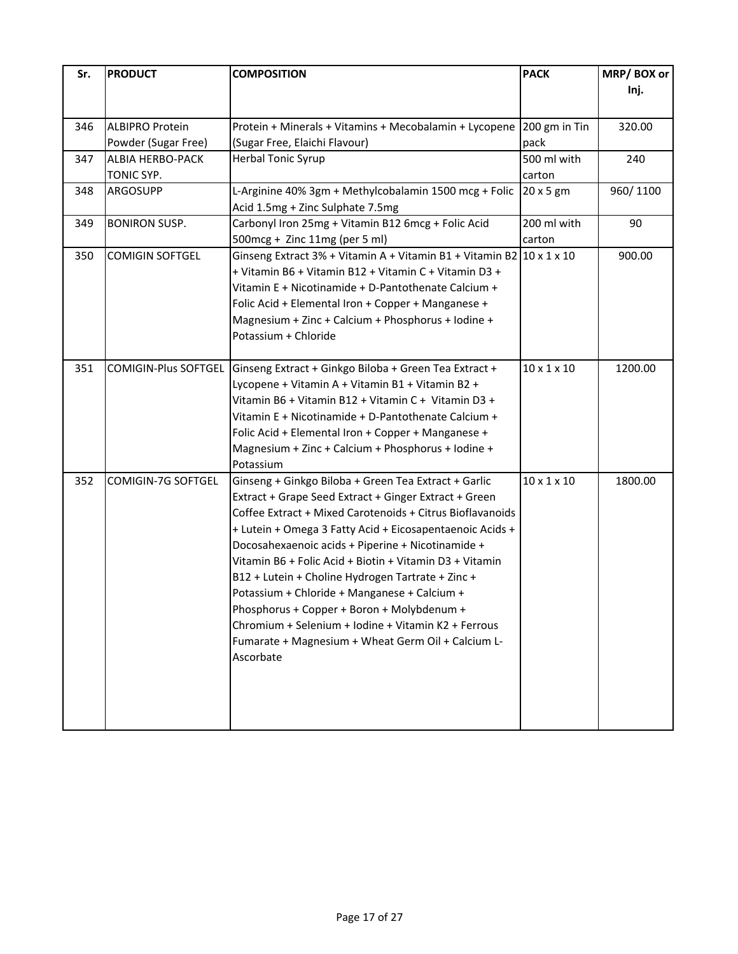| Sr. | <b>PRODUCT</b>              | <b>COMPOSITION</b>                                                                                         | <b>PACK</b>             | MRP/BOX or                   |
|-----|-----------------------------|------------------------------------------------------------------------------------------------------------|-------------------------|------------------------------|
|     |                             |                                                                                                            |                         | Inj.                         |
|     |                             |                                                                                                            |                         |                              |
| 346 | <b>ALBIPRO Protein</b>      | Protein + Minerals + Vitamins + Mecobalamin + Lycopene 200 gm in Tin                                       |                         | 320.00                       |
|     | Powder (Sugar Free)         | (Sugar Free, Elaichi Flavour)                                                                              | pack                    |                              |
| 347 | <b>ALBIA HERBO-PACK</b>     | Herbal Tonic Syrup                                                                                         | 500 ml with             | 240                          |
|     | TONIC SYP.                  |                                                                                                            | carton                  |                              |
| 348 | ARGOSUPP                    | L-Arginine 40% 3gm + Methylcobalamin 1500 mcg + Folic                                                      | $20 \times 5$ gm        | 960/1100                     |
|     |                             | Acid 1.5mg + Zinc Sulphate 7.5mg                                                                           |                         |                              |
| 349 | <b>BONIRON SUSP.</b>        | Carbonyl Iron 25mg + Vitamin B12 6mcg + Folic Acid                                                         | 200 ml with             | 90                           |
|     |                             | 500mcg + Zinc 11mg (per 5 ml)                                                                              | carton                  |                              |
| 350 | <b>COMIGIN SOFTGEL</b>      | Ginseng Extract 3% + Vitamin A + Vitamin B1 + Vitamin B2 $\left  \frac{10 \times 1 \times 10}{10} \right $ |                         |                              |
|     |                             | + Vitamin B6 + Vitamin B12 + Vitamin C + Vitamin D3 +                                                      |                         |                              |
|     |                             | Vitamin E + Nicotinamide + D-Pantothenate Calcium +                                                        |                         |                              |
|     |                             | Folic Acid + Elemental Iron + Copper + Manganese +                                                         |                         |                              |
|     |                             | Magnesium + Zinc + Calcium + Phosphorus + Iodine +                                                         |                         |                              |
|     |                             | Potassium + Chloride                                                                                       |                         |                              |
|     |                             |                                                                                                            |                         |                              |
| 351 | <b>COMIGIN-Plus SOFTGEL</b> | Ginseng Extract + Ginkgo Biloba + Green Tea Extract +                                                      | $10 \times 1 \times 10$ |                              |
|     |                             | Lycopene + Vitamin A + Vitamin B1 + Vitamin B2 +                                                           |                         |                              |
|     |                             | Vitamin B6 + Vitamin B12 + Vitamin C + Vitamin D3 +                                                        |                         |                              |
|     |                             | Vitamin E + Nicotinamide + D-Pantothenate Calcium +                                                        |                         |                              |
|     |                             | Folic Acid + Elemental Iron + Copper + Manganese +                                                         |                         |                              |
|     |                             | Magnesium + Zinc + Calcium + Phosphorus + Iodine +                                                         |                         |                              |
|     |                             | Potassium                                                                                                  |                         |                              |
| 352 | COMIGIN-7G SOFTGEL          | Ginseng + Ginkgo Biloba + Green Tea Extract + Garlic                                                       | $10 \times 1 \times 10$ |                              |
|     |                             | Extract + Grape Seed Extract + Ginger Extract + Green                                                      |                         |                              |
|     |                             | Coffee Extract + Mixed Carotenoids + Citrus Bioflavanoids                                                  |                         | 900.00<br>1200.00<br>1800.00 |
|     |                             | + Lutein + Omega 3 Fatty Acid + Eicosapentaenoic Acids +                                                   |                         |                              |
|     |                             | Docosahexaenoic acids + Piperine + Nicotinamide +                                                          |                         |                              |
|     |                             | Vitamin B6 + Folic Acid + Biotin + Vitamin D3 + Vitamin                                                    |                         |                              |
|     |                             | B12 + Lutein + Choline Hydrogen Tartrate + Zinc +                                                          |                         |                              |
|     |                             | Potassium + Chloride + Manganese + Calcium +                                                               |                         |                              |
|     |                             | Phosphorus + Copper + Boron + Molybdenum +                                                                 |                         |                              |
|     |                             | Chromium + Selenium + Iodine + Vitamin K2 + Ferrous                                                        |                         |                              |
|     |                             | Fumarate + Magnesium + Wheat Germ Oil + Calcium L-                                                         |                         |                              |
|     |                             | Ascorbate                                                                                                  |                         |                              |
|     |                             |                                                                                                            |                         |                              |
|     |                             |                                                                                                            |                         |                              |
|     |                             |                                                                                                            |                         |                              |
|     |                             |                                                                                                            |                         |                              |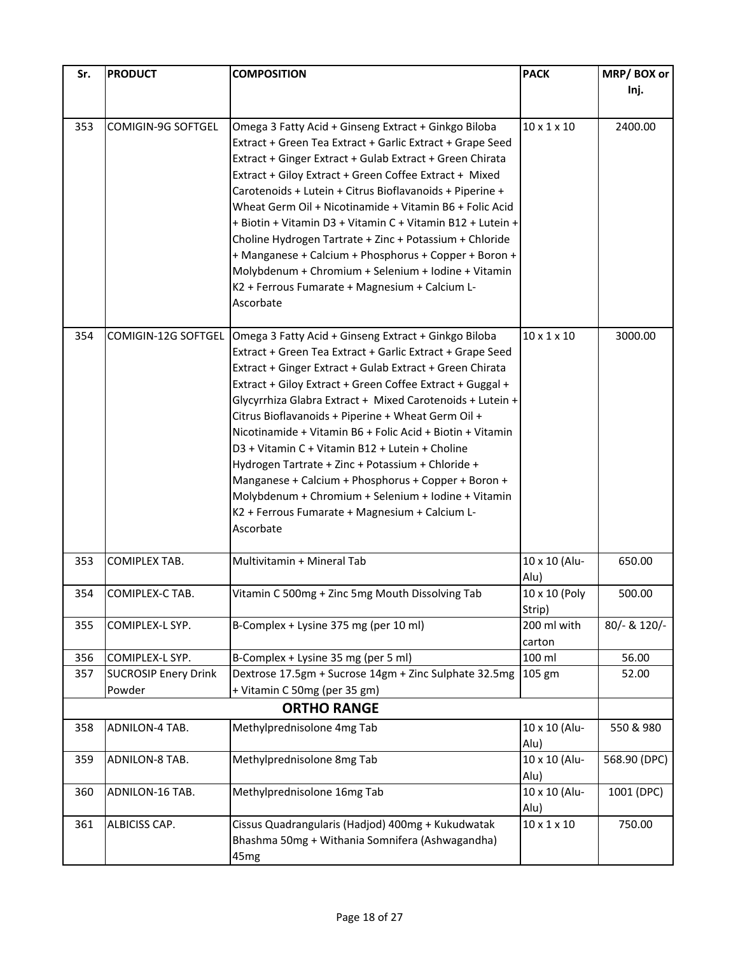| Sr.        | <b>PRODUCT</b>                                 | <b>COMPOSITION</b>                                                                           | <b>PACK</b>             | MRP/BOX or                  |
|------------|------------------------------------------------|----------------------------------------------------------------------------------------------|-------------------------|-----------------------------|
|            |                                                |                                                                                              |                         | Inj.                        |
|            |                                                |                                                                                              |                         |                             |
| 353        | COMIGIN-9G SOFTGEL                             | Omega 3 Fatty Acid + Ginseng Extract + Ginkgo Biloba                                         | $10 \times 1 \times 10$ | 2400.00                     |
|            |                                                | Extract + Green Tea Extract + Garlic Extract + Grape Seed                                    |                         |                             |
|            |                                                | Extract + Ginger Extract + Gulab Extract + Green Chirata                                     |                         |                             |
|            |                                                | Extract + Giloy Extract + Green Coffee Extract + Mixed                                       |                         |                             |
|            |                                                | Carotenoids + Lutein + Citrus Bioflavanoids + Piperine +                                     |                         |                             |
|            |                                                | Wheat Germ Oil + Nicotinamide + Vitamin B6 + Folic Acid                                      |                         |                             |
|            |                                                | + Biotin + Vitamin D3 + Vitamin C + Vitamin B12 + Lutein +                                   |                         |                             |
|            |                                                | Choline Hydrogen Tartrate + Zinc + Potassium + Chloride                                      |                         |                             |
|            |                                                | + Manganese + Calcium + Phosphorus + Copper + Boron +                                        |                         |                             |
|            |                                                | Molybdenum + Chromium + Selenium + Iodine + Vitamin                                          |                         |                             |
|            |                                                | K2 + Ferrous Fumarate + Magnesium + Calcium L-<br>Ascorbate                                  |                         |                             |
|            |                                                |                                                                                              |                         |                             |
| 354        | COMIGIN-12G SOFTGEL                            | Omega 3 Fatty Acid + Ginseng Extract + Ginkgo Biloba                                         | $10 \times 1 \times 10$ |                             |
|            |                                                | Extract + Green Tea Extract + Garlic Extract + Grape Seed                                    |                         |                             |
|            |                                                | Extract + Ginger Extract + Gulab Extract + Green Chirata                                     |                         |                             |
|            |                                                | Extract + Giloy Extract + Green Coffee Extract + Guggal +                                    |                         |                             |
|            |                                                | Glycyrrhiza Glabra Extract + Mixed Carotenoids + Lutein +                                    |                         |                             |
|            |                                                | Citrus Bioflavanoids + Piperine + Wheat Germ Oil +                                           |                         | 3000.00<br>650.00<br>500.00 |
|            |                                                | Nicotinamide + Vitamin B6 + Folic Acid + Biotin + Vitamin                                    |                         |                             |
|            |                                                | D3 + Vitamin C + Vitamin B12 + Lutein + Choline                                              |                         |                             |
|            |                                                | Hydrogen Tartrate + Zinc + Potassium + Chloride +                                            |                         |                             |
|            |                                                | Manganese + Calcium + Phosphorus + Copper + Boron +                                          |                         |                             |
|            |                                                | Molybdenum + Chromium + Selenium + Iodine + Vitamin                                          |                         |                             |
|            |                                                | K2 + Ferrous Fumarate + Magnesium + Calcium L-                                               |                         |                             |
|            |                                                | Ascorbate                                                                                    |                         |                             |
| 353        | COMIPLEX TAB.                                  | Multivitamin + Mineral Tab                                                                   | 10 x 10 (Alu-           |                             |
|            |                                                |                                                                                              | Alu)                    |                             |
| 354        | COMIPLEX-C TAB.                                | Vitamin C 500mg + Zinc 5mg Mouth Dissolving Tab                                              | 10 x 10 (Poly           |                             |
|            |                                                |                                                                                              | Strip)                  |                             |
| 355        | COMIPLEX-L SYP.                                | B-Complex + Lysine 375 mg (per 10 ml)                                                        | 200 ml with             | 80/- & 120/-                |
|            |                                                |                                                                                              | carton<br>100 ml        |                             |
| 356<br>357 | COMIPLEX-L SYP.<br><b>SUCROSIP Enery Drink</b> | B-Complex + Lysine 35 mg (per 5 ml)<br>Dextrose 17.5gm + Sucrose 14gm + Zinc Sulphate 32.5mg | 105 gm                  | 56.00<br>52.00              |
|            | Powder                                         | + Vitamin C 50mg (per 35 gm)                                                                 |                         |                             |
|            |                                                | <b>ORTHO RANGE</b>                                                                           |                         |                             |
| 358        | ADNILON-4 TAB.                                 | Methylprednisolone 4mg Tab                                                                   | 10 x 10 (Alu-           | 550 & 980                   |
|            |                                                |                                                                                              | Alu)                    |                             |
| 359        | ADNILON-8 TAB.                                 | Methylprednisolone 8mg Tab                                                                   | 10 x 10 (Alu-           | 568.90 (DPC)                |
|            |                                                |                                                                                              | Alu)                    |                             |
| 360        | ADNILON-16 TAB.                                | Methylprednisolone 16mg Tab                                                                  | 10 x 10 (Alu-           | 1001 (DPC)                  |
|            |                                                |                                                                                              | Alu)                    |                             |
| 361        | ALBICISS CAP.                                  | Cissus Quadrangularis (Hadjod) 400mg + Kukudwatak                                            | $10 \times 1 \times 10$ | 750.00                      |
|            |                                                | Bhashma 50mg + Withania Somnifera (Ashwagandha)                                              |                         |                             |
|            |                                                | 45 <sub>mg</sub>                                                                             |                         |                             |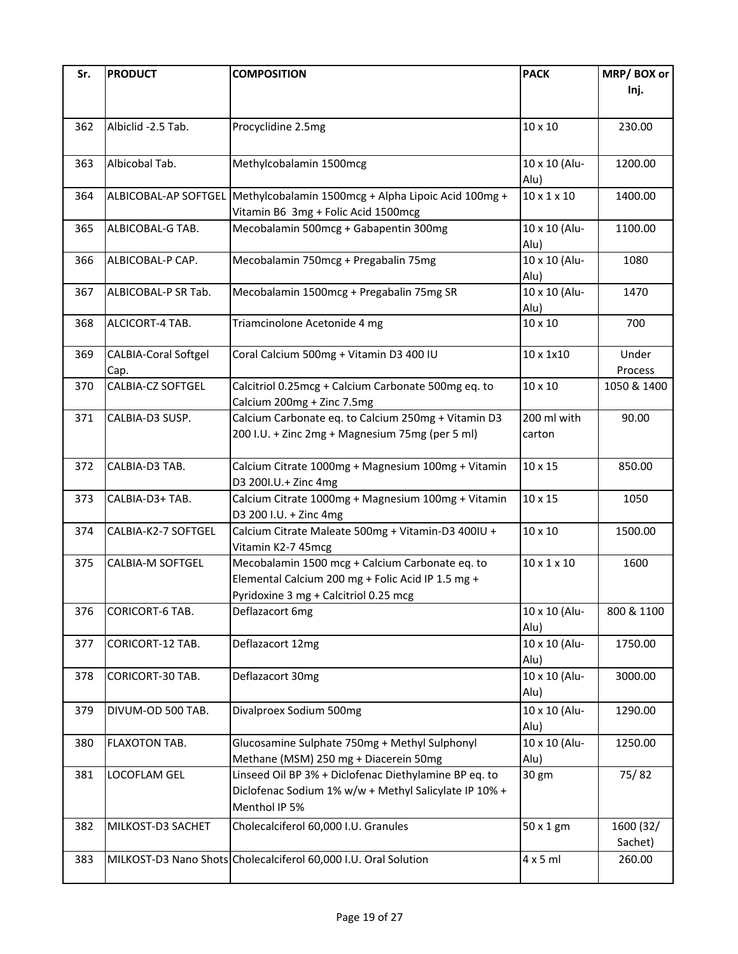| Sr. | <b>PRODUCT</b>              | <b>COMPOSITION</b>                                                       | <b>PACK</b>             | MRP/BOX or             |
|-----|-----------------------------|--------------------------------------------------------------------------|-------------------------|------------------------|
|     |                             |                                                                          |                         | Inj.                   |
|     |                             |                                                                          |                         |                        |
| 362 | Albiclid -2.5 Tab.          | Procyclidine 2.5mg                                                       | 10 x 10                 | 230.00                 |
|     |                             |                                                                          |                         |                        |
| 363 | Albicobal Tab.              | Methylcobalamin 1500mcg                                                  | 10 x 10 (Alu-           | 1200.00                |
|     |                             |                                                                          | Alu)                    |                        |
| 364 | ALBICOBAL-AP SOFTGEL        | Methylcobalamin 1500mcg + Alpha Lipoic Acid 100mg +                      | $10 \times 1 \times 10$ | 1400.00                |
|     |                             | Vitamin B6 3mg + Folic Acid 1500mcg                                      |                         |                        |
| 365 | ALBICOBAL-G TAB.            | Mecobalamin 500mcg + Gabapentin 300mg                                    | 10 x 10 (Alu-           | 1100.00                |
| 366 | ALBICOBAL-P CAP.            | Mecobalamin 750mcg + Pregabalin 75mg                                     | Alu)<br>10 x 10 (Alu-   | 1080                   |
|     |                             |                                                                          | Alu)                    |                        |
| 367 | ALBICOBAL-P SR Tab.         | Mecobalamin 1500mcg + Pregabalin 75mg SR                                 | 10 x 10 (Alu-           | 1470                   |
|     |                             |                                                                          | Alu)                    |                        |
| 368 | ALCICORT-4 TAB.             | Triamcinolone Acetonide 4 mg                                             | 10 x 10                 | 700                    |
|     |                             |                                                                          |                         |                        |
| 369 | <b>CALBIA-Coral Softgel</b> | Coral Calcium 500mg + Vitamin D3 400 IU                                  | 10 x 1x10               | Under                  |
| 370 | Cap.<br>CALBIA-CZ SOFTGEL   | Calcitriol 0.25mcg + Calcium Carbonate 500mg eq. to                      | 10 x 10                 | Process<br>1050 & 1400 |
|     |                             | Calcium 200mg + Zinc 7.5mg                                               |                         |                        |
| 371 | CALBIA-D3 SUSP.             | Calcium Carbonate eq. to Calcium 250mg + Vitamin D3                      | 200 ml with             | 90.00                  |
|     |                             | 200 I.U. + Zinc 2mg + Magnesium 75mg (per 5 ml)                          | carton                  |                        |
|     |                             |                                                                          |                         |                        |
| 372 | CALBIA-D3 TAB.              | Calcium Citrate 1000mg + Magnesium 100mg + Vitamin                       | 10 x 15                 | 850.00                 |
|     |                             | D3 2001.U.+ Zinc 4mg                                                     |                         |                        |
| 373 | CALBIA-D3+ TAB.             | Calcium Citrate 1000mg + Magnesium 100mg + Vitamin                       | 10 x 15                 | 1050                   |
|     |                             | D3 200 I.U. + Zinc 4mg                                                   |                         |                        |
| 374 | CALBIA-K2-7 SOFTGEL         | Calcium Citrate Maleate 500mg + Vitamin-D3 400IU +<br>Vitamin K2-7 45mcg | 10 x 10                 | 1500.00                |
| 375 | <b>CALBIA-M SOFTGEL</b>     | Mecobalamin 1500 mcg + Calcium Carbonate eq. to                          | $10 \times 1 \times 10$ | 1600                   |
|     |                             | Elemental Calcium 200 mg + Folic Acid IP 1.5 mg +                        |                         |                        |
|     |                             | Pyridoxine 3 mg + Calcitriol 0.25 mcg                                    |                         |                        |
| 376 | CORICORT-6 TAB.             | Deflazacort 6mg                                                          | 10 x 10 (Alu-           | 800 & 1100             |
|     |                             |                                                                          | Alu)                    |                        |
| 377 | CORICORT-12 TAB.            | Deflazacort 12mg                                                         | 10 x 10 (Alu-           | 1750.00                |
|     |                             |                                                                          | Alu)                    |                        |
| 378 | CORICORT-30 TAB.            | Deflazacort 30mg                                                         | $10 \times 10$ (Alu-    | 3000.00                |
|     |                             |                                                                          | Alu)                    |                        |
| 379 | DIVUM-OD 500 TAB.           | Divalproex Sodium 500mg                                                  | 10 x 10 (Alu-<br>Alu)   | 1290.00                |
| 380 | FLAXOTON TAB.               | Glucosamine Sulphate 750mg + Methyl Sulphonyl                            | 10 x 10 (Alu-           | 1250.00                |
|     |                             | Methane (MSM) 250 mg + Diacerein 50mg                                    | Alu)                    |                        |
| 381 | LOCOFLAM GEL                | Linseed Oil BP 3% + Diclofenac Diethylamine BP eq. to                    | 30 gm                   | 75/82                  |
|     |                             | Diclofenac Sodium 1% w/w + Methyl Salicylate IP 10% +                    |                         |                        |
|     |                             | Menthol IP 5%                                                            |                         |                        |
| 382 | MILKOST-D3 SACHET           | Cholecalciferol 60,000 I.U. Granules                                     | 50 x 1 gm               | 1600 (32/              |
|     |                             |                                                                          |                         | Sachet)                |
| 383 |                             | MILKOST-D3 Nano Shots Cholecalciferol 60,000 I.U. Oral Solution          | $4 \times 5$ ml         | 260.00                 |
|     |                             |                                                                          |                         |                        |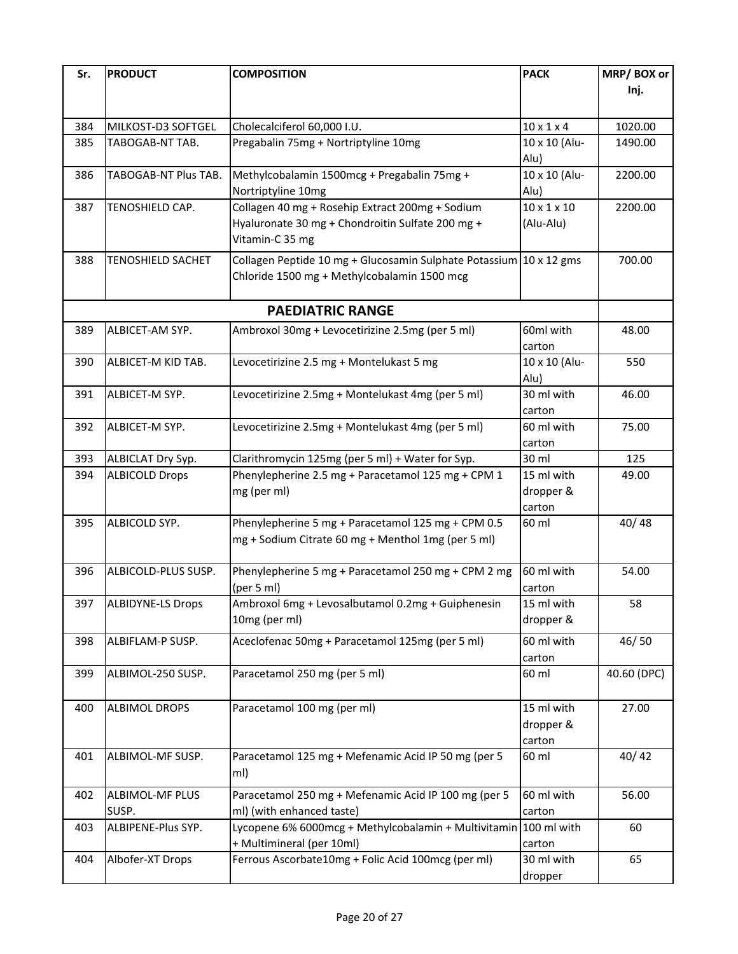| Sr. | <b>PRODUCT</b>           | <b>COMPOSITION</b>                                                 | <b>PACK</b>             | MRP/BOX or  |
|-----|--------------------------|--------------------------------------------------------------------|-------------------------|-------------|
|     |                          |                                                                    |                         | Inj.        |
|     |                          |                                                                    |                         |             |
|     |                          |                                                                    | $10 \times 1 \times 4$  | 1020.00     |
| 384 | MILKOST-D3 SOFTGEL       | Cholecalciferol 60,000 I.U.                                        |                         |             |
| 385 | TABOGAB-NT TAB.          | Pregabalin 75mg + Nortriptyline 10mg                               | 10 x 10 (Alu-           | 1490.00     |
|     |                          |                                                                    | Alu)                    |             |
| 386 | TABOGAB-NT Plus TAB.     | Methylcobalamin 1500mcg + Pregabalin 75mg +                        | 10 x 10 (Alu-           | 2200.00     |
|     |                          | Nortriptyline 10mg                                                 | Alu)                    |             |
| 387 | TENOSHIELD CAP.          | Collagen 40 mg + Rosehip Extract 200mg + Sodium                    | $10 \times 1 \times 10$ | 2200.00     |
|     |                          | Hyaluronate 30 mg + Chondroitin Sulfate 200 mg +                   | (Alu-Alu)               |             |
|     |                          | Vitamin-C 35 mg                                                    |                         |             |
| 388 | <b>TENOSHIELD SACHET</b> | Collagen Peptide 10 mg + Glucosamin Sulphate Potassium 10 x 12 gms |                         | 700.00      |
|     |                          | Chloride 1500 mg + Methylcobalamin 1500 mcg                        |                         |             |
|     |                          |                                                                    |                         |             |
|     |                          | <b>PAEDIATRIC RANGE</b>                                            |                         |             |
| 389 | ALBICET-AM SYP.          | Ambroxol 30mg + Levocetirizine 2.5mg (per 5 ml)                    | 60ml with               | 48.00       |
|     |                          |                                                                    | carton                  |             |
| 390 | ALBICET-M KID TAB.       | Levocetirizine 2.5 mg + Montelukast 5 mg                           | 10 x 10 (Alu-           | 550         |
|     |                          |                                                                    | Alu)                    |             |
|     |                          |                                                                    | 30 ml with              |             |
| 391 | ALBICET-M SYP.           | Levocetirizine 2.5mg + Montelukast 4mg (per 5 ml)                  |                         | 46.00       |
|     |                          |                                                                    | carton                  |             |
| 392 | ALBICET-M SYP.           | Levocetirizine 2.5mg + Montelukast 4mg (per 5 ml)                  | 60 ml with              | 75.00       |
|     |                          |                                                                    | carton                  |             |
| 393 | ALBICLAT Dry Syp.        | Clarithromycin 125mg (per 5 ml) + Water for Syp.                   | 30 ml                   | 125         |
| 394 | <b>ALBICOLD Drops</b>    | Phenylepherine 2.5 mg + Paracetamol 125 mg + CPM 1                 | 15 ml with              | 49.00       |
|     |                          | mg (per ml)                                                        | dropper &               |             |
|     |                          |                                                                    | carton                  |             |
| 395 | ALBICOLD SYP.            | Phenylepherine 5 mg + Paracetamol 125 mg + CPM 0.5                 | 60 ml                   | 40/48       |
|     |                          | mg + Sodium Citrate 60 mg + Menthol 1mg (per 5 ml)                 |                         |             |
|     |                          |                                                                    |                         |             |
| 396 | ALBICOLD-PLUS SUSP.      | Phenylepherine 5 mg + Paracetamol 250 mg + CPM 2 mg                | 60 ml with              | 54.00       |
|     |                          | (per 5 ml)                                                         | carton                  |             |
| 397 | <b>ALBIDYNE-LS Drops</b> | Ambroxol 6mg + Levosalbutamol 0.2mg + Guiphenesin                  | 15 ml with              | 58          |
|     |                          | 10mg (per ml)                                                      | dropper &               |             |
| 398 | ALBIFLAM-P SUSP.         | Aceclofenac 50mg + Paracetamol 125mg (per 5 ml)                    | 60 ml with              | 46/50       |
|     |                          |                                                                    | carton                  |             |
| 399 | ALBIMOL-250 SUSP.        | Paracetamol 250 mg (per 5 ml)                                      | 60 ml                   | 40.60 (DPC) |
|     |                          |                                                                    |                         |             |
| 400 | <b>ALBIMOL DROPS</b>     | Paracetamol 100 mg (per ml)                                        | 15 ml with              | 27.00       |
|     |                          |                                                                    | dropper &               |             |
|     |                          |                                                                    | carton                  |             |
| 401 | ALBIMOL-MF SUSP.         | Paracetamol 125 mg + Mefenamic Acid IP 50 mg (per 5                | 60 ml                   | 40/42       |
|     |                          | ml)                                                                |                         |             |
|     |                          |                                                                    |                         |             |
| 402 | ALBIMOL-MF PLUS          | Paracetamol 250 mg + Mefenamic Acid IP 100 mg (per 5               | 60 ml with              | 56.00       |
|     | SUSP.                    | ml) (with enhanced taste)                                          | carton                  |             |
| 403 | ALBIPENE-Plus SYP.       | Lycopene 6% 6000mcg + Methylcobalamin + Multivitamin 100 ml with   |                         | 60          |
|     |                          | + Multimineral (per 10ml)                                          | carton                  |             |
| 404 | Albofer-XT Drops         | Ferrous Ascorbate10mg + Folic Acid 100mcg (per ml)                 | 30 ml with              | 65          |
|     |                          |                                                                    | dropper                 |             |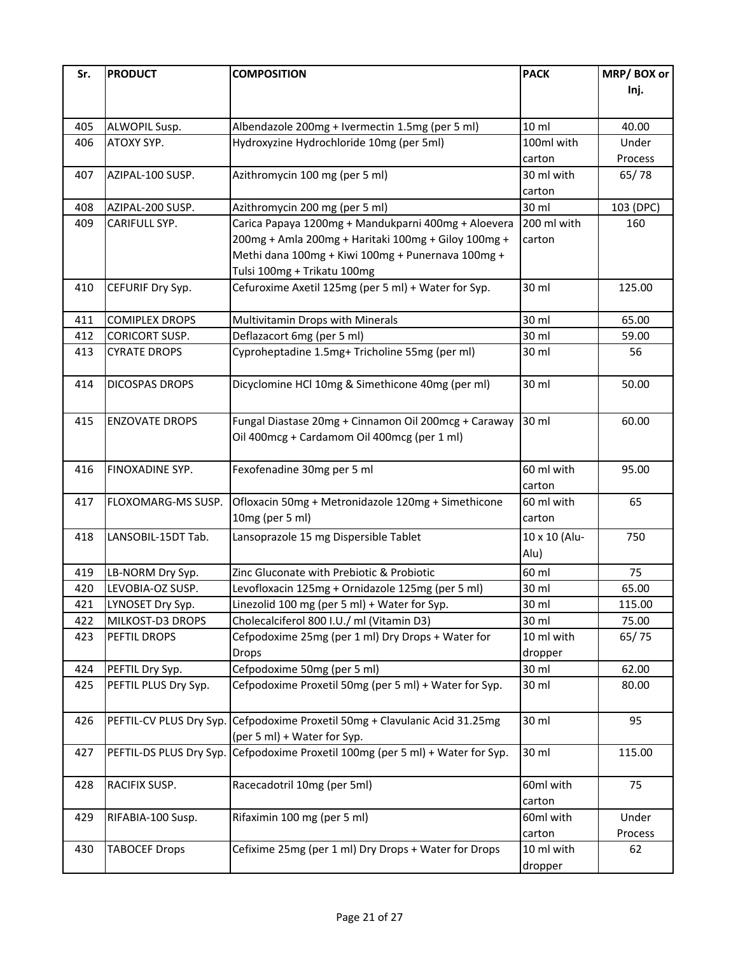| Sr.        | <b>PRODUCT</b>                       | <b>COMPOSITION</b>                                                                        | <b>PACK</b>           | MRP/BOX or      |
|------------|--------------------------------------|-------------------------------------------------------------------------------------------|-----------------------|-----------------|
|            |                                      |                                                                                           |                       | Inj.            |
|            |                                      |                                                                                           |                       |                 |
| 405        | ALWOPIL Susp.                        | Albendazole 200mg + Ivermectin 1.5mg (per 5 ml)                                           | 10 <sub>ml</sub>      | 40.00           |
| 406        | ATOXY SYP.                           | Hydroxyzine Hydrochloride 10mg (per 5ml)                                                  | 100ml with            | Under           |
|            |                                      |                                                                                           | carton                | Process         |
| 407        | AZIPAL-100 SUSP.                     | Azithromycin 100 mg (per 5 ml)                                                            | 30 ml with            | 65/78           |
|            |                                      |                                                                                           | carton                |                 |
| 408        | AZIPAL-200 SUSP.                     | Azithromycin 200 mg (per 5 ml)                                                            | 30 ml                 | 103 (DPC)       |
| 409        | CARIFULL SYP.                        | Carica Papaya 1200mg + Mandukparni 400mg + Aloevera                                       | 200 ml with           | 160             |
|            |                                      | 200mg + Amla 200mg + Haritaki 100mg + Giloy 100mg +                                       | carton                |                 |
|            |                                      | Methi dana 100mg + Kiwi 100mg + Punernava 100mg +                                         |                       |                 |
|            |                                      | Tulsi 100mg + Trikatu 100mg                                                               |                       |                 |
| 410        | CEFURIF Dry Syp.                     | Cefuroxime Axetil 125mg (per 5 ml) + Water for Syp.                                       | 30 ml                 | 125.00          |
| 411        | <b>COMIPLEX DROPS</b>                | Multivitamin Drops with Minerals                                                          | 30 ml                 | 65.00           |
| 412        | <b>CORICORT SUSP.</b>                | Deflazacort 6mg (per 5 ml)                                                                | 30 ml                 | 59.00           |
| 413        | <b>CYRATE DROPS</b>                  | Cyproheptadine 1.5mg+ Tricholine 55mg (per ml)                                            | 30 ml                 | 56              |
| 414        | <b>DICOSPAS DROPS</b>                | Dicyclomine HCl 10mg & Simethicone 40mg (per ml)                                          | 30 ml                 | 50.00           |
|            |                                      |                                                                                           |                       |                 |
| 415        | <b>ENZOVATE DROPS</b>                | Fungal Diastase 20mg + Cinnamon Oil 200mcg + Caraway                                      | 30 ml                 | 60.00           |
|            |                                      | Oil 400mcg + Cardamom Oil 400mcg (per 1 ml)                                               |                       |                 |
|            |                                      |                                                                                           |                       |                 |
| 416        | FINOXADINE SYP.                      | Fexofenadine 30mg per 5 ml                                                                | 60 ml with            | 95.00           |
| 417        | FLOXOMARG-MS SUSP.                   | Ofloxacin 50mg + Metronidazole 120mg + Simethicone                                        | carton<br>60 ml with  | 65              |
|            |                                      | 10mg (per 5 ml)                                                                           | carton                |                 |
|            |                                      |                                                                                           |                       |                 |
| 418        | LANSOBIL-15DT Tab.                   | Lansoprazole 15 mg Dispersible Tablet                                                     | 10 x 10 (Alu-<br>Alu) | 750             |
|            |                                      |                                                                                           |                       |                 |
| 419        | LB-NORM Dry Syp.                     | Zinc Gluconate with Prebiotic & Probiotic                                                 | 60 ml                 | 75              |
| 420        | LEVOBIA-OZ SUSP.                     | Levofloxacin 125mg + Ornidazole 125mg (per 5 ml)                                          | 30 ml<br>30 ml        | 65.00           |
| 421<br>422 | LYNOSET Dry Syp.<br>MILKOST-D3 DROPS | Linezolid 100 mg (per 5 ml) + Water for Syp.<br>Cholecalciferol 800 I.U./ ml (Vitamin D3) | 30 ml                 | 115.00<br>75.00 |
| 423        | PEFTIL DROPS                         | Cefpodoxime 25mg (per 1 ml) Dry Drops + Water for                                         | 10 ml with            | 65/75           |
|            |                                      | Drops                                                                                     | dropper               |                 |
| 424        | PEFTIL Dry Syp.                      | Cefpodoxime 50mg (per 5 ml)                                                               | 30 ml                 | 62.00           |
| 425        | PEFTIL PLUS Dry Syp.                 | Cefpodoxime Proxetil 50mg (per 5 ml) + Water for Syp.                                     | 30 ml                 | 80.00           |
|            |                                      |                                                                                           |                       |                 |
| 426        | PEFTIL-CV PLUS Dry Syp.              | Cefpodoxime Proxetil 50mg + Clavulanic Acid 31.25mg                                       | 30 ml                 | 95              |
|            |                                      | (per 5 ml) + Water for Syp.                                                               |                       |                 |
| 427        | PEFTIL-DS PLUS Dry Syp.              | Cefpodoxime Proxetil 100mg (per 5 ml) + Water for Syp.                                    | 30 ml                 | 115.00          |
| 428        | RACIFIX SUSP.                        | Racecadotril 10mg (per 5ml)                                                               | 60ml with             | 75              |
|            |                                      |                                                                                           | carton                |                 |
| 429        | RIFABIA-100 Susp.                    | Rifaximin 100 mg (per 5 ml)                                                               | 60ml with             | Under           |
|            |                                      |                                                                                           | carton                | Process         |
| 430        | <b>TABOCEF Drops</b>                 | Cefixime 25mg (per 1 ml) Dry Drops + Water for Drops                                      | 10 ml with            | 62              |
|            |                                      |                                                                                           | dropper               |                 |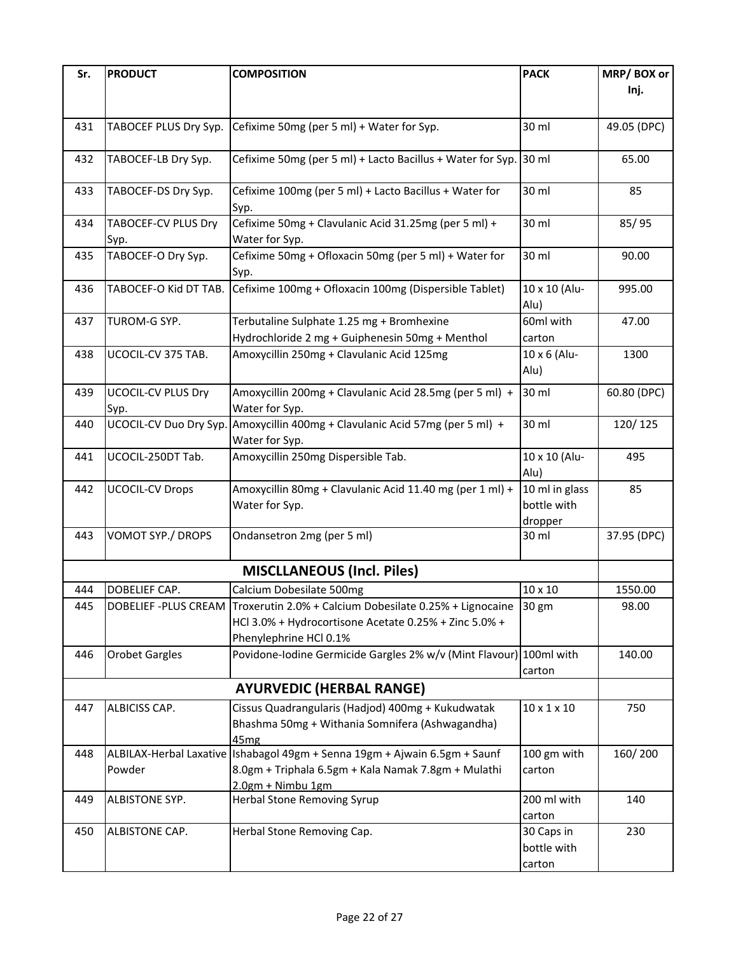| Sr. | <b>PRODUCT</b>            | <b>COMPOSITION</b>                                                           | <b>PACK</b>               | MRP/BOX or  |
|-----|---------------------------|------------------------------------------------------------------------------|---------------------------|-------------|
|     |                           |                                                                              |                           | Inj.        |
|     |                           |                                                                              |                           |             |
| 431 | TABOCEF PLUS Dry Syp.     | Cefixime 50mg (per 5 ml) + Water for Syp.                                    | 30 ml                     | 49.05 (DPC) |
|     |                           |                                                                              |                           |             |
| 432 | TABOCEF-LB Dry Syp.       | Cefixime 50mg (per 5 ml) + Lacto Bacillus + Water for Syp.                   | 30 ml                     | 65.00       |
|     |                           |                                                                              |                           |             |
| 433 | TABOCEF-DS Dry Syp.       | Cefixime 100mg (per 5 ml) + Lacto Bacillus + Water for                       | 30 ml                     | 85          |
|     |                           | Syp.                                                                         |                           |             |
| 434 | TABOCEF-CV PLUS Dry       | Cefixime 50mg + Clavulanic Acid 31.25mg (per 5 ml) +                         | 30 ml                     | 85/95       |
|     | Syp.                      | Water for Syp.                                                               |                           |             |
| 435 | TABOCEF-O Dry Syp.        | Cefixime 50mg + Ofloxacin 50mg (per 5 ml) + Water for                        | 30 ml                     | 90.00       |
|     |                           | Syp.                                                                         |                           |             |
| 436 | TABOCEF-O Kid DT TAB.     | Cefixime 100mg + Ofloxacin 100mg (Dispersible Tablet)                        | 10 x 10 (Alu-             | 995.00      |
|     |                           |                                                                              | Alu)                      |             |
| 437 | TUROM-G SYP.              | Terbutaline Sulphate 1.25 mg + Bromhexine                                    | 60ml with                 | 47.00       |
|     |                           | Hydrochloride 2 mg + Guiphenesin 50mg + Menthol                              | carton                    |             |
| 438 | UCOCIL-CV 375 TAB.        | Amoxycillin 250mg + Clavulanic Acid 125mg                                    | 10 x 6 (Alu-              | 1300        |
|     |                           |                                                                              | Alu)                      |             |
| 439 | <b>UCOCIL-CV PLUS Dry</b> | Amoxycillin 200mg + Clavulanic Acid 28.5mg (per 5 ml) +                      | 30 ml                     | 60.80 (DPC) |
|     | Syp.                      | Water for Syp.                                                               |                           |             |
| 440 | UCOCIL-CV Duo Dry Syp.    | Amoxycillin 400mg + Clavulanic Acid 57mg (per 5 ml) +                        | 30 ml                     | 120/125     |
|     |                           | Water for Syp.                                                               |                           |             |
| 441 | UCOCIL-250DT Tab.         | Amoxycillin 250mg Dispersible Tab.                                           | 10 x 10 (Alu-             | 495         |
|     |                           |                                                                              | Alu)                      |             |
| 442 | <b>UCOCIL-CV Drops</b>    | Amoxycillin 80mg + Clavulanic Acid 11.40 mg (per 1 ml) +                     | 10 ml in glass            | 85          |
|     |                           | Water for Syp.                                                               | bottle with               |             |
|     |                           |                                                                              | dropper                   |             |
| 443 | VOMOT SYP./ DROPS         | Ondansetron 2mg (per 5 ml)                                                   | 30 ml                     | 37.95 (DPC) |
|     |                           |                                                                              |                           |             |
|     |                           | <b>MISCLLANEOUS (Incl. Piles)</b>                                            |                           |             |
| 444 | DOBELIEF CAP.             | Calcium Dobesilate 500mg                                                     | $10 \times 10$            | 1550.00     |
| 445 |                           | DOBELIEF -PLUS CREAM Troxerutin 2.0% + Calcium Dobesilate 0.25% + Lignocaine | $130$ gm                  | 98.00       |
|     |                           | HCl 3.0% + Hydrocortisone Acetate 0.25% + Zinc 5.0% +                        |                           |             |
|     |                           | Phenylephrine HCl 0.1%                                                       |                           |             |
| 446 | <b>Orobet Gargles</b>     | Povidone-Iodine Germicide Gargles 2% w/v (Mint Flavour) 100ml with           |                           | 140.00      |
|     |                           |                                                                              | carton                    |             |
|     |                           | <b>AYURVEDIC (HERBAL RANGE)</b>                                              |                           |             |
| 447 | ALBICISS CAP.             | Cissus Quadrangularis (Hadjod) 400mg + Kukudwatak                            | $10 \times 1 \times 10$   | 750         |
|     |                           | Bhashma 50mg + Withania Somnifera (Ashwagandha)                              |                           |             |
|     |                           | 45 <sub>mg</sub>                                                             |                           |             |
| 448 |                           | ALBILAX-Herbal Laxative Ishabagol 49gm + Senna 19gm + Ajwain 6.5gm + Saunf   | 100 gm with               | 160/200     |
|     | Powder                    | 8.0gm + Triphala 6.5gm + Kala Namak 7.8gm + Mulathi                          | carton                    |             |
|     |                           | 2.0gm + Nimbu 1gm                                                            |                           |             |
| 449 | ALBISTONE SYP.            | Herbal Stone Removing Syrup                                                  | 200 ml with               | 140         |
|     |                           |                                                                              | carton                    |             |
| 450 | ALBISTONE CAP.            | Herbal Stone Removing Cap.                                                   | 30 Caps in<br>bottle with | 230         |
|     |                           |                                                                              |                           |             |
|     |                           |                                                                              | carton                    |             |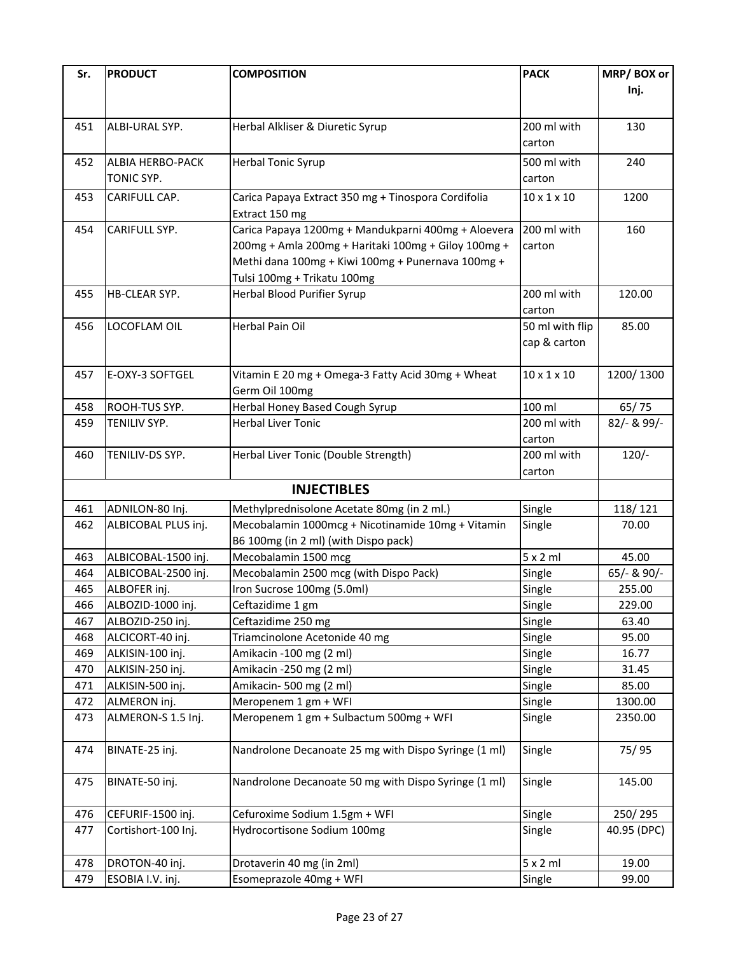| Sr. | <b>PRODUCT</b>      | <b>COMPOSITION</b>                                   | <b>PACK</b>             | MRP/BOX or  |
|-----|---------------------|------------------------------------------------------|-------------------------|-------------|
|     |                     |                                                      |                         | Inj.        |
|     |                     |                                                      |                         |             |
| 451 | ALBI-URAL SYP.      | Herbal Alkliser & Diuretic Syrup                     | 200 ml with             | 130         |
|     |                     |                                                      | carton                  |             |
| 452 | ALBIA HERBO-PACK    | <b>Herbal Tonic Syrup</b>                            | 500 ml with             | 240         |
|     | TONIC SYP.          |                                                      | carton                  |             |
| 453 | CARIFULL CAP.       | Carica Papaya Extract 350 mg + Tinospora Cordifolia  | $10 \times 1 \times 10$ | 1200        |
|     |                     | Extract 150 mg                                       |                         |             |
| 454 | CARIFULL SYP.       | Carica Papaya 1200mg + Mandukparni 400mg + Aloevera  | 200 ml with             | 160         |
|     |                     | 200mg + Amla 200mg + Haritaki 100mg + Giloy 100mg +  | carton                  |             |
|     |                     | Methi dana 100mg + Kiwi 100mg + Punernava 100mg +    |                         |             |
|     |                     | Tulsi 100mg + Trikatu 100mg                          |                         |             |
| 455 | HB-CLEAR SYP.       | Herbal Blood Purifier Syrup                          | 200 ml with             | 120.00      |
|     |                     |                                                      | carton                  |             |
| 456 | LOCOFLAM OIL        | Herbal Pain Oil                                      | 50 ml with flip         | 85.00       |
|     |                     |                                                      | cap & carton            |             |
|     |                     |                                                      |                         |             |
| 457 | E-OXY-3 SOFTGEL     | Vitamin E 20 mg + Omega-3 Fatty Acid 30mg + Wheat    | $10 \times 1 \times 10$ | 1200/1300   |
|     |                     | Germ Oil 100mg                                       |                         |             |
| 458 | ROOH-TUS SYP.       | Herbal Honey Based Cough Syrup                       | 100 ml                  | 65/75       |
| 459 | TENILIV SYP.        | <b>Herbal Liver Tonic</b>                            | 200 ml with             | 82/- & 99/- |
|     |                     |                                                      | carton                  |             |
| 460 | TENILIV-DS SYP.     | Herbal Liver Tonic (Double Strength)                 | 200 ml with             | $120/-$     |
|     |                     |                                                      | carton                  |             |
|     |                     | <b>INJECTIBLES</b>                                   |                         |             |
| 461 | ADNILON-80 Inj.     | Methylprednisolone Acetate 80mg (in 2 ml.)           | Single                  | 118/121     |
| 462 | ALBICOBAL PLUS inj. | Mecobalamin 1000mcg + Nicotinamide 10mg + Vitamin    | Single                  | 70.00       |
|     |                     | B6 100mg (in 2 ml) (with Dispo pack)                 |                         |             |
| 463 | ALBICOBAL-1500 inj. | Mecobalamin 1500 mcg                                 | $5 \times 2$ ml         | 45.00       |
| 464 | ALBICOBAL-2500 inj. | Mecobalamin 2500 mcg (with Dispo Pack)               | Single                  | 65/- & 90/- |
| 465 | ALBOFER inj.        | Iron Sucrose 100mg (5.0ml)                           | Single                  | 255.00      |
| 466 | ALBOZID-1000 inj.   | Ceftazidime 1 gm                                     | Single                  | 229.00      |
| 467 | ALBOZID-250 inj.    | Ceftazidime 250 mg                                   | Single                  | 63.40       |
| 468 | ALCICORT-40 inj.    | Triamcinolone Acetonide 40 mg                        | Single                  | 95.00       |
| 469 | ALKISIN-100 inj.    | Amikacin -100 mg (2 ml)                              | Single                  | 16.77       |
| 470 | ALKISIN-250 inj.    | Amikacin -250 mg (2 ml)                              | Single                  | 31.45       |
| 471 | ALKISIN-500 inj.    | Amikacin-500 mg (2 ml)                               | Single                  | 85.00       |
| 472 | ALMERON inj.        | Meropenem 1 gm + WFI                                 | Single                  | 1300.00     |
| 473 | ALMERON-S 1.5 Inj.  | Meropenem 1 gm + Sulbactum 500mg + WFI               | Single                  | 2350.00     |
| 474 | BINATE-25 inj.      | Nandrolone Decanoate 25 mg with Dispo Syringe (1 ml) | Single                  | 75/95       |
|     |                     |                                                      |                         |             |
| 475 | BINATE-50 inj.      | Nandrolone Decanoate 50 mg with Dispo Syringe (1 ml) | Single                  | 145.00      |
|     |                     |                                                      |                         |             |
| 476 | CEFURIF-1500 inj.   | Cefuroxime Sodium 1.5gm + WFI                        | Single                  | 250/295     |
| 477 | Cortishort-100 Inj. | Hydrocortisone Sodium 100mg                          | Single                  | 40.95 (DPC) |
|     |                     |                                                      |                         |             |
| 478 | DROTON-40 inj.      | Drotaverin 40 mg (in 2ml)                            | $5 \times 2$ ml         | 19.00       |
| 479 | ESOBIA I.V. inj.    | Esomeprazole 40mg + WFI                              | Single                  | 99.00       |
|     |                     |                                                      |                         |             |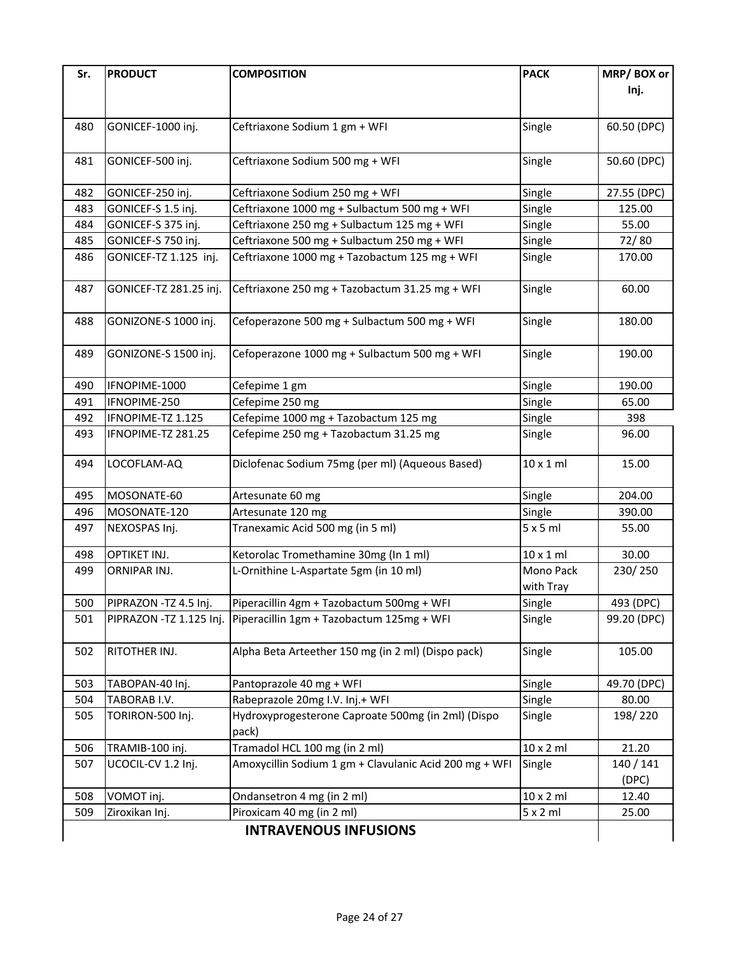| Sr. | <b>PRODUCT</b>           | <b>COMPOSITION</b>                                          | <b>PACK</b>            | MRP/BOX or<br>Inj. |
|-----|--------------------------|-------------------------------------------------------------|------------------------|--------------------|
| 480 | GONICEF-1000 inj.        | Ceftriaxone Sodium 1 gm + WFI                               | Single                 | 60.50 (DPC)        |
| 481 | GONICEF-500 inj.         | Ceftriaxone Sodium 500 mg + WFI                             | Single                 | 50.60 (DPC)        |
| 482 | GONICEF-250 inj.         | Ceftriaxone Sodium 250 mg + WFI                             | Single                 | 27.55 (DPC)        |
| 483 | GONICEF-S 1.5 inj.       | Ceftriaxone 1000 mg + Sulbactum 500 mg + WFI                | Single                 | 125.00             |
| 484 | GONICEF-S 375 inj.       | Ceftriaxone 250 mg + Sulbactum 125 mg + WFI                 | Single                 | 55.00              |
| 485 | GONICEF-S 750 inj.       | Ceftriaxone 500 mg + Sulbactum 250 mg + WFI                 | Single                 | 72/80              |
| 486 | GONICEF-TZ 1.125 inj.    | Ceftriaxone 1000 mg + Tazobactum 125 mg + WFI               | Single                 | 170.00             |
| 487 | GONICEF-TZ 281.25 inj.   | Ceftriaxone 250 mg + Tazobactum 31.25 mg + WFI              | Single                 | 60.00              |
| 488 | GONIZONE-S 1000 inj.     | Cefoperazone 500 mg + Sulbactum 500 mg + WFI                | Single                 | 180.00             |
| 489 | GONIZONE-S 1500 inj.     | Cefoperazone 1000 mg + Sulbactum 500 mg + WFI               | Single                 | 190.00             |
| 490 | IFNOPIME-1000            | Cefepime 1 gm                                               | Single                 | 190.00             |
| 491 | IFNOPIME-250             | Cefepime 250 mg                                             | Single                 | 65.00              |
| 492 | IFNOPIME-TZ 1.125        | Cefepime 1000 mg + Tazobactum 125 mg                        | Single                 | 398                |
| 493 | IFNOPIME-TZ 281.25       | Cefepime 250 mg + Tazobactum 31.25 mg                       | Single                 | 96.00              |
| 494 | LOCOFLAM-AQ              | Diclofenac Sodium 75mg (per ml) (Aqueous Based)             | $10 \times 1$ ml       | 15.00              |
| 495 | MOSONATE-60              | Artesunate 60 mg                                            | Single                 | 204.00             |
| 496 | MOSONATE-120             | Artesunate 120 mg                                           | Single                 | 390.00             |
| 497 | NEXOSPAS Inj.            | Tranexamic Acid 500 mg (in 5 ml)                            | 5x5ml                  | 55.00              |
| 498 | OPTIKET INJ.             | Ketorolac Tromethamine 30mg (In 1 ml)                       | $10 \times 1$ ml       | 30.00              |
| 499 | ORNIPAR INJ.             | L-Ornithine L-Aspartate 5gm (in 10 ml)                      | Mono Pack<br>with Tray | 230/250            |
| 500 | PIPRAZON -TZ 4.5 Inj.    | Piperacillin 4gm + Tazobactum 500mg + WFI                   | Single                 | 493 (DPC)          |
| 501 | PIPRAZON - TZ 1.125 Inj. | Piperacillin 1gm + Tazobactum 125mg + WFI                   | Single                 | 99.20 (DPC)        |
| 502 | RITOTHER INJ.            | Alpha Beta Arteether 150 mg (in 2 ml) (Dispo pack)          | Single                 | 105.00             |
| 503 | TABOPAN-40 Inj.          | Pantoprazole 40 mg + WFI                                    | Single                 | 49.70 (DPC)        |
| 504 | TABORAB I.V.             | Rabeprazole 20mg I.V. Inj.+ WFI                             | Single                 | 80.00              |
| 505 | TORIRON-500 Inj.         | Hydroxyprogesterone Caproate 500mg (in 2ml) (Dispo<br>pack) | Single                 | 198/220            |
| 506 | TRAMIB-100 inj.          | Tramadol HCL 100 mg (in 2 ml)                               | $10 \times 2$ ml       | 21.20              |
| 507 | UCOCIL-CV 1.2 Inj.       | Amoxycillin Sodium 1 gm + Clavulanic Acid 200 mg + WFI      | Single                 | 140 / 141<br>(DPC) |
| 508 | VOMOT inj.               | Ondansetron 4 mg (in 2 ml)                                  | $10 \times 2$ ml       | 12.40              |
| 509 | Ziroxikan Inj.           | Piroxicam 40 mg (in 2 ml)                                   | 5x2ml                  | 25.00              |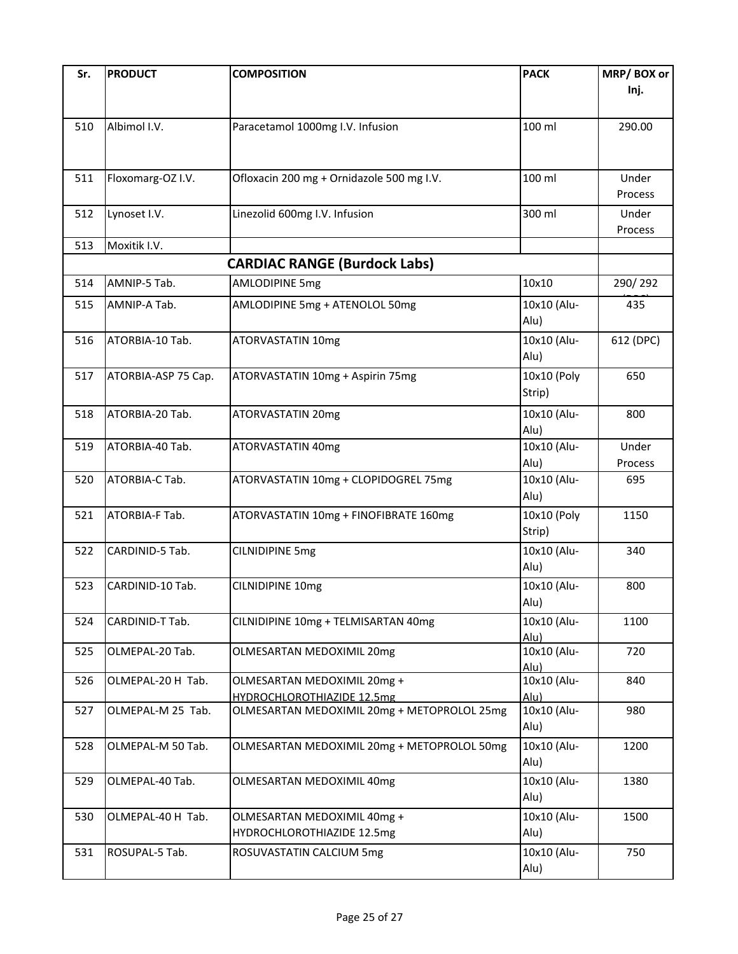| Sr. | <b>PRODUCT</b>      | <b>COMPOSITION</b>                          | <b>PACK</b>         | MRP/BOX or |
|-----|---------------------|---------------------------------------------|---------------------|------------|
|     |                     |                                             |                     | Inj.       |
|     |                     |                                             |                     |            |
|     |                     |                                             |                     |            |
| 510 | Albimol I.V.        | Paracetamol 1000mg I.V. Infusion            | 100 ml              | 290.00     |
|     |                     |                                             |                     |            |
|     |                     |                                             |                     |            |
| 511 | Floxomarg-OZ I.V.   | Ofloxacin 200 mg + Ornidazole 500 mg I.V.   | 100 ml              | Under      |
|     |                     |                                             |                     | Process    |
|     |                     |                                             | 300 ml              |            |
| 512 | Lynoset I.V.        | Linezolid 600mg I.V. Infusion               |                     | Under      |
|     |                     |                                             |                     | Process    |
| 513 | Moxitik I.V.        |                                             |                     |            |
|     |                     | <b>CARDIAC RANGE (Burdock Labs)</b>         |                     |            |
| 514 | AMNIP-5 Tab.        | <b>AMLODIPINE 5mg</b>                       | 10x10               | 290/292    |
| 515 | AMNIP-A Tab.        | AMLODIPINE 5mg + ATENOLOL 50mg              | 10x10 (Alu-         | 435        |
|     |                     |                                             | Alu)                |            |
|     |                     |                                             |                     |            |
| 516 | ATORBIA-10 Tab.     | ATORVASTATIN 10mg                           | 10x10 (Alu-         | 612 (DPC)  |
|     |                     |                                             | Alu)                |            |
| 517 | ATORBIA-ASP 75 Cap. | ATORVASTATIN 10mg + Aspirin 75mg            | 10x10 (Poly         | 650        |
|     |                     |                                             | Strip)              |            |
|     |                     |                                             |                     |            |
| 518 | ATORBIA-20 Tab.     | ATORVASTATIN 20mg                           | 10x10 (Alu-         | 800        |
|     |                     |                                             | Alu)                |            |
| 519 | ATORBIA-40 Tab.     | ATORVASTATIN 40mg                           | 10x10 (Alu-         | Under      |
|     |                     |                                             | Alu)                | Process    |
| 520 | ATORBIA-C Tab.      | ATORVASTATIN 10mg + CLOPIDOGREL 75mg        | 10x10 (Alu-         | 695        |
|     |                     |                                             | Alu)                |            |
| 521 | ATORBIA-F Tab.      | ATORVASTATIN 10mg + FINOFIBRATE 160mg       | 10x10 (Poly         | 1150       |
|     |                     |                                             |                     |            |
|     |                     |                                             | Strip)              |            |
| 522 | CARDINID-5 Tab.     | <b>CILNIDIPINE 5mg</b>                      | 10x10 (Alu-         | 340        |
|     |                     |                                             | Alu)                |            |
| 523 | CARDINID-10 Tab.    | CILNIDIPINE 10mg                            | 10x10 (Alu-         | 800        |
|     |                     |                                             | Alu)                |            |
|     |                     |                                             |                     |            |
| 524 | CARDINID-T Tab.     | CILNIDIPINE 10mg + TELMISARTAN 40mg         | 10x10 (Alu-         | 1100       |
| 525 | OLMEPAL-20 Tab.     | OLMESARTAN MEDOXIMIL 20mg                   | Alu)<br>10x10 (Alu- | 720        |
|     |                     |                                             | Alu)                |            |
| 526 | OLMEPAL-20 H Tab.   | OLMESARTAN MEDOXIMIL 20mg +                 | 10x10 (Alu-         | 840        |
|     |                     | HYDROCHLOROTHIAZIDE 12.5mg                  | Alu)                |            |
| 527 | OLMEPAL-M 25 Tab.   | OLMESARTAN MEDOXIMIL 20mg + METOPROLOL 25mg | 10x10 (Alu-         | 980        |
|     |                     |                                             | Alu)                |            |
|     |                     |                                             |                     |            |
| 528 | OLMEPAL-M 50 Tab.   | OLMESARTAN MEDOXIMIL 20mg + METOPROLOL 50mg | 10x10 (Alu-         | 1200       |
|     |                     |                                             | Alu)                |            |
| 529 | OLMEPAL-40 Tab.     | OLMESARTAN MEDOXIMIL 40mg                   | 10x10 (Alu-         | 1380       |
|     |                     |                                             | Alu)                |            |
|     |                     |                                             |                     |            |
| 530 | OLMEPAL-40 H Tab.   | OLMESARTAN MEDOXIMIL 40mg +                 | 10x10 (Alu-         | 1500       |
|     |                     | HYDROCHLOROTHIAZIDE 12.5mg                  | Alu)                |            |
| 531 | ROSUPAL-5 Tab.      | ROSUVASTATIN CALCIUM 5mg                    | 10x10 (Alu-         | 750        |
|     |                     |                                             | Alu)                |            |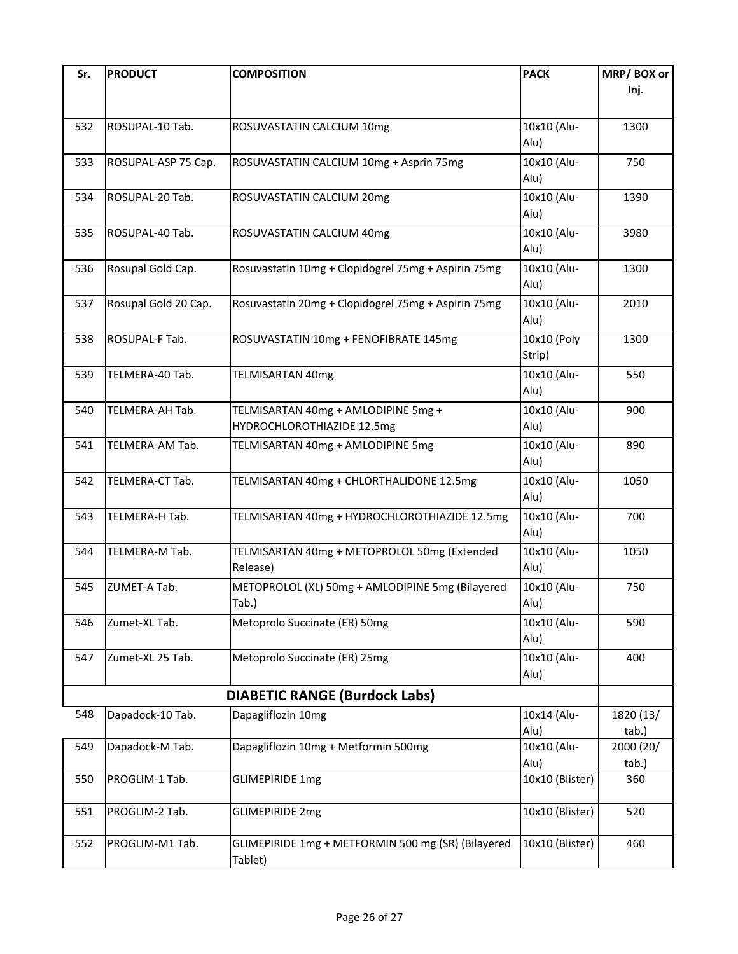| Sr. | <b>PRODUCT</b>       | <b>COMPOSITION</b>                                       | <b>PACK</b>     | MRP/BOX or |
|-----|----------------------|----------------------------------------------------------|-----------------|------------|
|     |                      |                                                          |                 | Inj.       |
|     |                      |                                                          |                 |            |
| 532 | ROSUPAL-10 Tab.      | ROSUVASTATIN CALCIUM 10mg                                | 10x10 (Alu-     | 1300       |
|     |                      |                                                          | Alu)            |            |
|     |                      |                                                          |                 |            |
| 533 | ROSUPAL-ASP 75 Cap.  | ROSUVASTATIN CALCIUM 10mg + Asprin 75mg                  | 10x10 (Alu-     | 750        |
|     |                      |                                                          | Alu)            |            |
| 534 | ROSUPAL-20 Tab.      | ROSUVASTATIN CALCIUM 20mg                                | 10x10 (Alu-     | 1390       |
|     |                      |                                                          | Alu)            |            |
| 535 | ROSUPAL-40 Tab.      | ROSUVASTATIN CALCIUM 40mg                                | 10x10 (Alu-     | 3980       |
|     |                      |                                                          | Alu)            |            |
| 536 | Rosupal Gold Cap.    | Rosuvastatin 10mg + Clopidogrel 75mg + Aspirin 75mg      | 10x10 (Alu-     | 1300       |
|     |                      |                                                          | Alu)            |            |
| 537 | Rosupal Gold 20 Cap. | Rosuvastatin 20mg + Clopidogrel 75mg + Aspirin 75mg      | 10x10 (Alu-     | 2010       |
|     |                      |                                                          | Alu)            |            |
| 538 | ROSUPAL-F Tab.       | ROSUVASTATIN 10mg + FENOFIBRATE 145mg                    | 10x10 (Poly     | 1300       |
|     |                      |                                                          | Strip)          |            |
|     |                      |                                                          |                 |            |
| 539 | TELMERA-40 Tab.      | <b>TELMISARTAN 40mg</b>                                  | 10x10 (Alu-     | 550        |
|     |                      |                                                          | Alu)            |            |
| 540 | TELMERA-AH Tab.      | TELMISARTAN 40mg + AMLODIPINE 5mg +                      | 10x10 (Alu-     | 900        |
|     |                      | HYDROCHLOROTHIAZIDE 12.5mg                               | Alu)            |            |
| 541 | TELMERA-AM Tab.      | TELMISARTAN 40mg + AMLODIPINE 5mg                        | 10x10 (Alu-     | 890        |
|     |                      |                                                          | Alu)            |            |
| 542 | TELMERA-CT Tab.      | TELMISARTAN 40mg + CHLORTHALIDONE 12.5mg                 | 10x10 (Alu-     | 1050       |
|     |                      |                                                          | Alu)            |            |
| 543 | TELMERA-H Tab.       | TELMISARTAN 40mg + HYDROCHLOROTHIAZIDE 12.5mg            | 10x10 (Alu-     | 700        |
|     |                      |                                                          | Alu)            |            |
|     | TELMERA-M Tab.       |                                                          | 10x10 (Alu-     | 1050       |
| 544 |                      | TELMISARTAN 40mg + METOPROLOL 50mg (Extended<br>Release) | Alu)            |            |
|     |                      |                                                          |                 |            |
| 545 | ZUMET-A Tab.         | METOPROLOL (XL) 50mg + AMLODIPINE 5mg (Bilayered         | 10x10 (Alu-     | 750        |
|     |                      | Tab.)                                                    | Alu)            |            |
| 546 | Zumet-XL Tab.        | Metoprolo Succinate (ER) 50mg                            | 10x10 (Alu-     | 590        |
|     |                      |                                                          | Alu)            |            |
| 547 | Zumet-XL 25 Tab.     | Metoprolo Succinate (ER) 25mg                            | 10x10 (Alu-     | 400        |
|     |                      |                                                          | Alu)            |            |
|     |                      | <b>DIABETIC RANGE (Burdock Labs)</b>                     |                 |            |
| 548 | Dapadock-10 Tab.     | Dapagliflozin 10mg                                       | 10x14 (Alu-     | 1820 (13/  |
|     |                      |                                                          | Alu)            | tab.)      |
| 549 | Dapadock-M Tab.      | Dapagliflozin 10mg + Metformin 500mg                     | 10x10 (Alu-     | 2000 (20/  |
|     |                      |                                                          | Alu)            | tab.)      |
| 550 | PROGLIM-1 Tab.       | <b>GLIMEPIRIDE 1mg</b>                                   | 10x10 (Blister) | 360        |
|     |                      |                                                          |                 |            |
| 551 | PROGLIM-2 Tab.       | <b>GLIMEPIRIDE 2mg</b>                                   | 10x10 (Blister) | 520        |
|     |                      |                                                          |                 |            |
| 552 | PROGLIM-M1 Tab.      | GLIMEPIRIDE 1mg + METFORMIN 500 mg (SR) (Bilayered       | 10x10 (Blister) | 460        |
|     |                      | Tablet)                                                  |                 |            |
|     |                      |                                                          |                 |            |